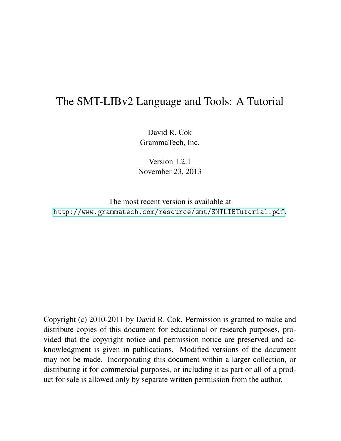# The SMT-LIBv2 Language and Tools: A Tutorial

David R. Cok GrammaTech, Inc.

Version 1.2.1 November 23, 2013

The most recent version is available at <http://www.grammatech.com/resource/smt/SMTLIBTutorial.pdf>.

Copyright (c) 2010-2011 by David R. Cok. Permission is granted to make and distribute copies of this document for educational or research purposes, provided that the copyright notice and permission notice are preserved and acknowledgment is given in publications. Modified versions of the document may not be made. Incorporating this document within a larger collection, or distributing it for commercial purposes, or including it as part or all of a product for sale is allowed only by separate written permission from the author.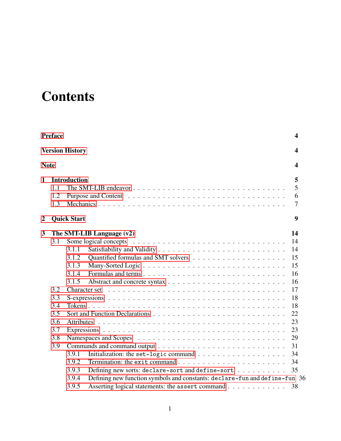# **Contents**

|                | Preface                |                                                                                                                                                  | $\overline{\mathbf{4}}$ |  |  |
|----------------|------------------------|--------------------------------------------------------------------------------------------------------------------------------------------------|-------------------------|--|--|
|                | <b>Version History</b> |                                                                                                                                                  |                         |  |  |
|                | <b>Note</b>            |                                                                                                                                                  | 4                       |  |  |
| $\mathbf{1}$   | 1.1<br>1.2<br>1.3      | <b>Introduction</b>                                                                                                                              | 5<br>5<br>6<br>7        |  |  |
| $\overline{2}$ |                        | <b>Quick Start</b>                                                                                                                               | 9                       |  |  |
| 3              | 3.1                    | The SMT-LIB Language (v2)                                                                                                                        | 14<br>14                |  |  |
|                |                        | 3.1.1<br>3.1.2                                                                                                                                   | 14<br>15                |  |  |
|                |                        | 3.1.3                                                                                                                                            | 15                      |  |  |
|                |                        | 3.1.4                                                                                                                                            | 16                      |  |  |
|                | 3.2                    | 3.1.5                                                                                                                                            | 16<br>17                |  |  |
|                | 3.3                    |                                                                                                                                                  | 18                      |  |  |
|                | 3.4<br>3.5             |                                                                                                                                                  | 18<br>22                |  |  |
|                | 3.6                    |                                                                                                                                                  | 23                      |  |  |
|                | 3.7                    |                                                                                                                                                  | 23                      |  |  |
|                | 3.8<br>3.9             |                                                                                                                                                  | 29<br>31                |  |  |
|                |                        | 3.9.1<br>Initialization: the set-logic command $\ldots \ldots \ldots \ldots \ldots \ldots$<br>3.9.2                                              | 34<br>34                |  |  |
|                |                        | 3.9.3<br>Defining new sorts: declare-sort and define-sort                                                                                        | 35                      |  |  |
|                |                        | 3.9.4<br>Defining new function symbols and constants: declare-fun and define-fun 36<br>3.9.5<br>Asserting logical statements: the assert command | 38                      |  |  |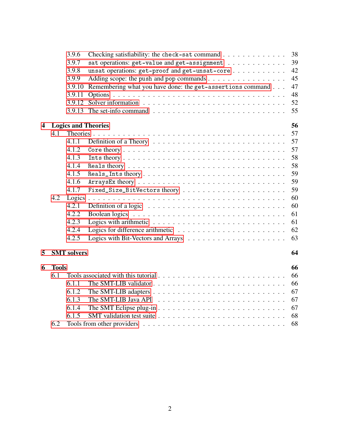|   |              | 3.9.6              | Checking satisfiability: the check-sat command $\ldots$ ,                              | 38 |
|---|--------------|--------------------|----------------------------------------------------------------------------------------|----|
|   |              | 3.9.7              | sat operations: get-value and get-assignment                                           | 39 |
|   |              | 3.9.8              | unsat operations: get-proof and get-unsat-core                                         | 42 |
|   |              | 3.9.9              | Adding scope: the push and pop commands                                                | 45 |
|   |              | 3.9.10             | Remembering what you have done: the get-assertions command                             | 47 |
|   |              | 3.9.11             |                                                                                        | 48 |
|   |              |                    |                                                                                        | 52 |
|   |              |                    |                                                                                        | 55 |
| 4 |              |                    | <b>Logics and Theories</b>                                                             | 56 |
|   | 4.1          |                    |                                                                                        | 57 |
|   |              | 4.1.1              | Definition of a Theory $\dots \dots \dots \dots \dots \dots \dots \dots \dots \dots$   | 57 |
|   |              | 4.1.2              |                                                                                        | 57 |
|   |              | 4.1.3              |                                                                                        | 58 |
|   |              | 4.1.4              |                                                                                        | 58 |
|   |              | 4.1.5              | Reals_Ints theory                                                                      | 59 |
|   |              | 4.1.6              |                                                                                        | 59 |
|   |              | 4.1.7              |                                                                                        | 59 |
|   | 4.2          | Logics             |                                                                                        | 60 |
|   |              | 4.2.1              | Definition of a logic $\ldots \ldots \ldots \ldots \ldots \ldots \ldots \ldots \ldots$ | 60 |
|   |              | 4.2.2              |                                                                                        | 61 |
|   |              | 4.2.3              |                                                                                        | 61 |
|   |              | 4.2.4              |                                                                                        | 62 |
|   |              | 4.2.5              |                                                                                        | 63 |
| 5 |              | <b>SMT</b> solvers |                                                                                        | 64 |
| 6 | <b>Tools</b> |                    |                                                                                        | 66 |
|   | 6.1          |                    |                                                                                        | 66 |
|   |              | 6.1.1              |                                                                                        | 66 |
|   |              | 6.1.2              |                                                                                        | 67 |
|   |              | 6.1.3              |                                                                                        | 67 |
|   |              | 6.1.4              |                                                                                        | 67 |
|   |              | 6.1.5              |                                                                                        | 68 |
|   | 6.2          |                    |                                                                                        | 68 |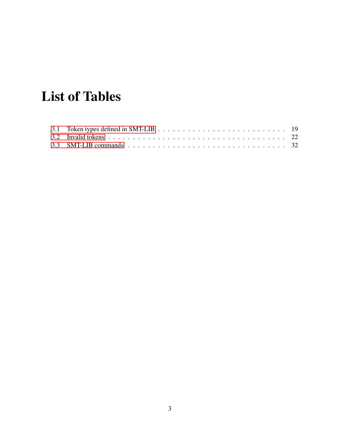# List of Tables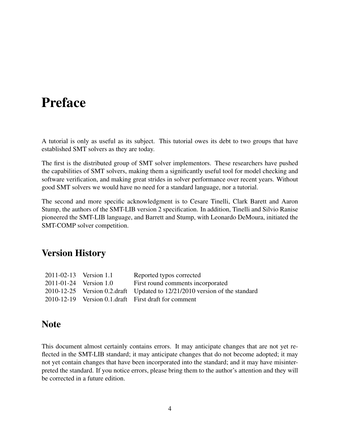# <span id="page-4-0"></span>Preface

A tutorial is only as useful as its subject. This tutorial owes its debt to two groups that have established SMT solvers as they are today.

The first is the distributed group of SMT solver implementors. These researchers have pushed the capabilities of SMT solvers, making them a significantly useful tool for model checking and software verification, and making great strides in solver performance over recent years. Without good SMT solvers we would have no need for a standard language, nor a tutorial.

The second and more specific acknowledgment is to Cesare Tinelli, Clark Barett and Aaron Stump, the authors of the SMT-LIB version 2 specification. In addition, Tinelli and Silvio Ranise pioneered the SMT-LIB language, and Barrett and Stump, with Leonardo DeMoura, initiated the SMT-COMP solver competition.

## <span id="page-4-1"></span>Version History

| Reported typos corrected                                                   |
|----------------------------------------------------------------------------|
| First round comments incorporated                                          |
| 2010-12-25 Version 0.2.draft Updated to 12/21/2010 version of the standard |
| 2010-12-19 Version 0.1.draft First draft for comment                       |
|                                                                            |

### <span id="page-4-2"></span>Note

This document almost certainly contains errors. It may anticipate changes that are not yet reflected in the SMT-LIB standard; it may anticipate changes that do not become adopted; it may not yet contain changes that have been incorporated into the standard; and it may have misinterpreted the standard. If you notice errors, please bring them to the author's attention and they will be corrected in a future edition.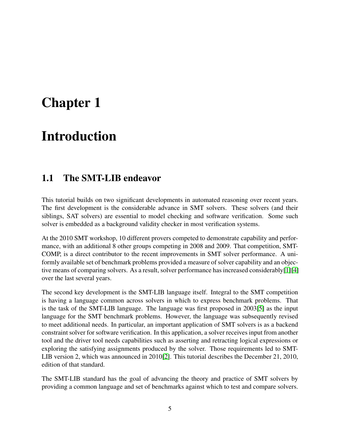# <span id="page-5-0"></span>Chapter 1

# Introduction

## <span id="page-5-1"></span>1.1 The SMT-LIB endeavor

This tutorial builds on two significant developments in automated reasoning over recent years. The first development is the considerable advance in SMT solvers. These solvers (and their siblings, SAT solvers) are essential to model checking and software verification. Some such solver is embedded as a background validity checker in most verification systems.

At the 2010 SMT workshop, 10 different provers competed to demonstrate capability and performance, with an additional 8 other groups competing in 2008 and 2009. That competition, SMT-COMP, is a direct contributor to the recent improvements in SMT solver performance. A uniformly available set of benchmark problems provided a measure of solver capability and an objective means of comparing solvers. As a result, solver performance has increased considerably[\[1\]](#page-70-0)[\[4\]](#page-70-1) over the last several years.

The second key development is the SMT-LIB language itself. Integral to the SMT competition is having a language common across solvers in which to express benchmark problems. That is the task of the SMT-LIB language. The language was first proposed in 2003[\[5\]](#page-70-2) as the input language for the SMT benchmark problems. However, the language was subsequently revised to meet additional needs. In particular, an important application of SMT solvers is as a backend constraint solver for software verification. In this application, a solver receives input from another tool and the driver tool needs capabilities such as asserting and retracting logical expressions or exploring the satisfying assignments produced by the solver. Those requirements led to SMT-LIB version 2, which was announced in 2010[\[2\]](#page-70-3). This tutorial describes the December 21, 2010, edition of that standard.

The SMT-LIB standard has the goal of advancing the theory and practice of SMT solvers by providing a common language and set of benchmarks against which to test and compare solvers.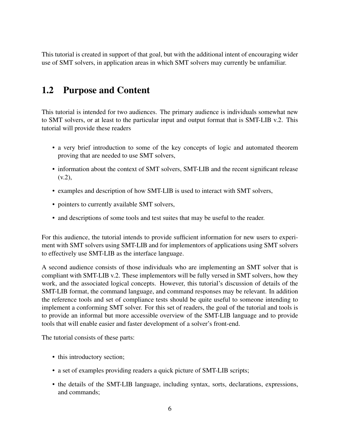This tutorial is created in support of that goal, but with the additional intent of encouraging wider use of SMT solvers, in application areas in which SMT solvers may currently be unfamiliar.

## <span id="page-6-0"></span>1.2 Purpose and Content

This tutorial is intended for two audiences. The primary audience is individuals somewhat new to SMT solvers, or at least to the particular input and output format that is SMT-LIB v.2. This tutorial will provide these readers

- a very brief introduction to some of the key concepts of logic and automated theorem proving that are needed to use SMT solvers,
- information about the context of SMT solvers, SMT-LIB and the recent significant release  $(v.2)$ ,
- examples and description of how SMT-LIB is used to interact with SMT solvers,
- pointers to currently available SMT solvers,
- and descriptions of some tools and test suites that may be useful to the reader.

For this audience, the tutorial intends to provide sufficient information for new users to experiment with SMT solvers using SMT-LIB and for implementors of applications using SMT solvers to effectively use SMT-LIB as the interface language.

A second audience consists of those individuals who are implementing an SMT solver that is compliant with SMT-LIB v.2. These implementors will be fully versed in SMT solvers, how they work, and the associated logical concepts. However, this tutorial's discussion of details of the SMT-LIB format, the command language, and command responses may be relevant. In addition the reference tools and set of compliance tests should be quite useful to someone intending to implement a conforming SMT solver. For this set of readers, the goal of the tutorial and tools is to provide an informal but more accessible overview of the SMT-LIB language and to provide tools that will enable easier and faster development of a solver's front-end.

The tutorial consists of these parts:

- this introductory section;
- a set of examples providing readers a quick picture of SMT-LIB scripts;
- the details of the SMT-LIB language, including syntax, sorts, declarations, expressions, and commands;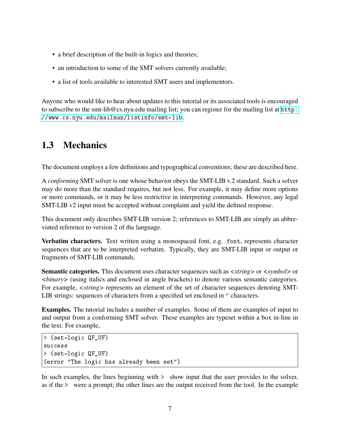- a brief description of the built-in logics and theories;
- an introduction to some of the SMT solvers currently available;
- a list of tools available to interested SMT users and implementors.

Anyone who would like to hear about updates to this tutorial or its associated tools is encouraged to subscribe to the smt-lib@cs.nyu.edu mailing list; you can register for the mailing list at [http:](http://www.cs.nyu.edu/mailman/listinfo/smt-lib) [//www.cs.nyu.edu/mailman/listinfo/smt-lib](http://www.cs.nyu.edu/mailman/listinfo/smt-lib).

# <span id="page-7-0"></span>1.3 Mechanics

The document employs a few definitions and typographical conventions; these are described here.

A *conforming* SMT solver is one whose behavior obeys the SMT-LIB v.2 standard. Such a solver may do more than the standard requires, but not less. For example, it may define more options or more commands, or it may be less restrictive in interpreting commands. However, any legal SMT-LIB v2 input must be accepted without complaint and yield the defined response.

This document only describes SMT-LIB version 2; references to SMT-LIB are simply an abbreviated reference to version 2 of the language.

Verbatim characters. Text written using a monospaced font, e.g. font, represents character sequences that are to be interpreted verbatim. Typically, they are SMT-LIB input or output or fragments of SMT-LIB commands.

Semantic categories. This document uses character sequences such as *<string>* or *<symbol>* or *<binary>* (using italics and enclosed in angle brackets) to denote various semantic categories. For example,  $\langle$ *string* $>$  represents an element of the set of character sequences denoting SMT-LIB strings: sequences of characters from a specified set enclosed in " characters.

Examples. The tutorial includes a number of examples. Some of them are examples of input to and output from a conforming SMT solver. These examples are typeset within a box in-line in the text. For example,

```
> (set-logic QF_UF)
success
> (set-logic QF_UF)
(error "The logic has already been set")
```
In such examples, the lines beginning with  $>$  show input that the user provides to the solver, as if the > were a prompt; the other lines are the output received from the tool. In the example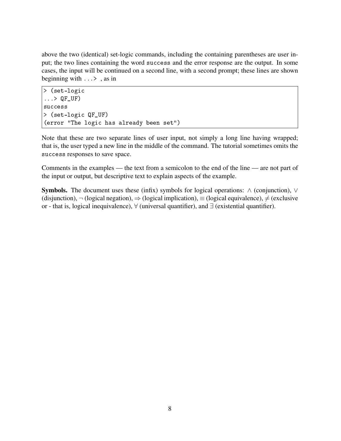above the two (identical) set-logic commands, including the containing parentheses are user input; the two lines containing the word success and the error response are the output. In some cases, the input will be continued on a second line, with a second prompt; these lines are shown beginning with ...> , as in

```
> (set-logic
\ldots > QF_UF)
success
> (set-logic QF_UF)
(error "The logic has already been set")
```
Note that these are two separate lines of user input, not simply a long line having wrapped; that is, the user typed a new line in the middle of the command. The tutorial sometimes omits the success responses to save space.

Comments in the examples — the text from a semicolon to the end of the line — are not part of the input or output, but descriptive text to explain aspects of the example.

**Symbols.** The document uses these (infix) symbols for logical operations:  $\wedge$  (conjunction),  $\vee$ (disjunction),  $\neg$  (logical negation),  $\Rightarrow$  (logical implication),  $\equiv$  (logical equivalence),  $\neq$  (exclusive or - that is, logical inequivalence), ∀ (universal quantifier), and ∃ (existential quantifier).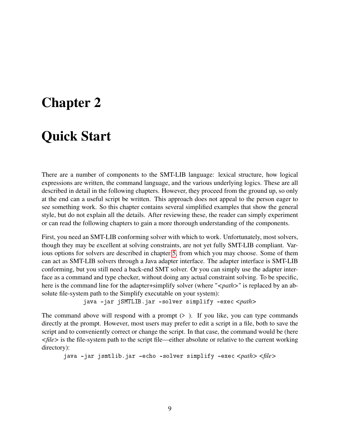# <span id="page-9-0"></span>Chapter 2

# Quick Start

There are a number of components to the SMT-LIB language: lexical structure, how logical expressions are written, the command language, and the various underlying logics. These are all described in detail in the following chapters. However, they proceed from the ground up, so only at the end can a useful script be written. This approach does not appeal to the person eager to see something work. So this chapter contains several simplified examples that show the general style, but do not explain all the details. After reviewing these, the reader can simply experiment or can read the following chapters to gain a more thorough understanding of the components.

First, you need an SMT-LIB conforming solver with which to work. Unfortunately, most solvers, though they may be excellent at solving constraints, are not yet fully SMT-LIB compliant. Various options for solvers are described in chapter [5,](#page-64-0) from which you may choose. Some of them can act as SMT-LIB solvers through a Java adapter interface. The adapter interface is SMT-LIB conforming, but you still need a back-end SMT solver. Or you can simply use the adapter interface as a command and type checker, without doing any actual constraint solving. To be specific, here is the command line for the adapter+simplify solver (where "*<path*>" is replaced by an absolute file-system path to the Simplify executable on your system):

java -jar jSMTLIB.jar -solver simplify -exec <path>

The command above will respond with a prompt  $(>$ ). If you like, you can type commands directly at the prompt. However, most users may prefer to edit a script in a file, both to save the script and to conveniently correct or change the script. In that case, the command would be (here *<file>* is the file-system path to the script file—either absolute or relative to the current working directory):

java -jar jsmtlib.jar echo solver simplify -exec *<path> <file>*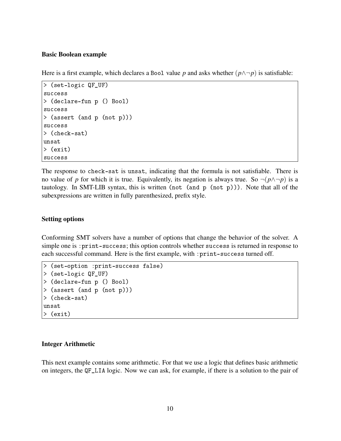#### Basic Boolean example

Here is a first example, which declares a Bool value *p* and asks whether  $(p \land \neg p)$  is satisfiable:

```
> (set-logic QF_UF)
success
> (declare-fun p () Bool)
success
> (assert (and p (not p)))
success
> (check-sat)
unsat
> (exit)
success
```
The response to check-sat is unsat, indicating that the formula is not satisfiable. There is no value of *p* for which it is true. Equivalently, its negation is always true. So  $\neg (p \land \neg p)$  is a tautology. In SMT-LIB syntax, this is written (not (and p (not p))). Note that all of the subexpressions are written in fully parenthesized, prefix style.

#### Setting options

Conforming SMT solvers have a number of options that change the behavior of the solver. A simple one is :print-success; this option controls whether success is returned in response to each successful command. Here is the first example, with : print-success turned off.

```
> (set-option :print-success false)
> (set-logic QF_UF)
> (declare-fun p () Bool)
> (assert (and p (not p)))
> (check-sat)
unsat
> (exit)
```
#### Integer Arithmetic

This next example contains some arithmetic. For that we use a logic that defines basic arithmetic on integers, the QF\_LIA logic. Now we can ask, for example, if there is a solution to the pair of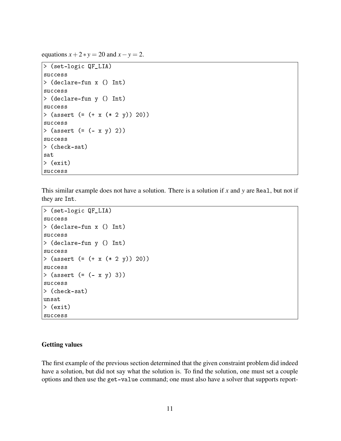equations  $x + 2 * y = 20$  and  $x - y = 2$ .

```
> (set-logic QF_LIA)
success
> (declare-fun x () Int)
success
> (declare-fun y () Int)
success
> (assert (= (+ x (* 2 y)) 20))
success
> (assert (= (- x y) 2))
success
> (check-sat)
sat
> (exit)
success
```
This similar example does not have a solution. There is a solution if *x* and *y* are Real, but not if they are Int.

```
> (set-logic QF_LIA)
success
> (declare-fun x () Int)
success
> (declare-fun y () Int)
success
> (assert (= (+ x (* 2 y)) 20))
success
> (assert (= (- x y) 3))
success
> (check-sat)
unsat
> (exit)
success
```
#### Getting values

The first example of the previous section determined that the given constraint problem did indeed have a solution, but did not say what the solution is. To find the solution, one must set a couple options and then use the get-value command; one must also have a solver that supports report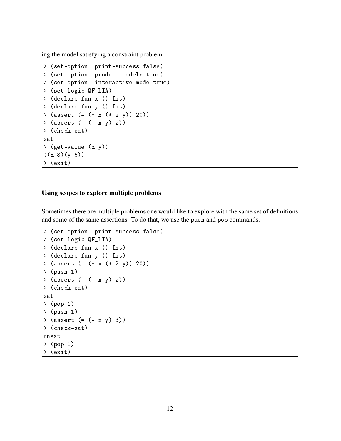ing the model satisfying a constraint problem.

```
> (set-option :print-success false)
> (set-option :produce-models true)
> (set-option :interactive-mode true)
> (set-logic QF_LIA)
> (declare-fun x () Int)
> (declare-fun y () Int)
> (assert (= (+ x (* 2 y)) 20))
> (assert (= (- x y) 2))
> (check-sat)
sat
> (get-value (x y))
((x 8)(y 6))> (exit)
```
#### Using scopes to explore multiple problems

Sometimes there are multiple problems one would like to explore with the same set of definitions and some of the same assertions. To do that, we use the push and pop commands.

```
> (set-option :print-success false)
> (set-logic QF_LIA)
> (declare-fun x () Int)
> (declare-fun y () Int)
> (assert (= (+ x (* 2 y)) 20))
> (push 1)
> (assert (= (- x y) 2))
> (check-sat)
sat
> (pop 1)
> (push 1)
> (assert (= (- x y) 3))
> (check-sat)
unsat
> (pop 1)
> (exit)
```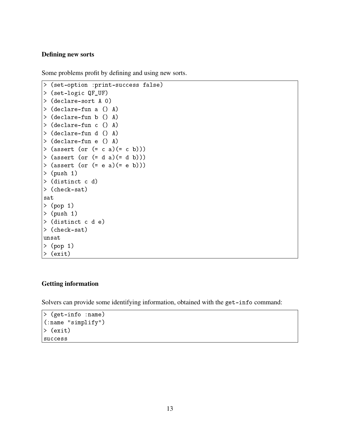#### Defining new sorts

Some problems profit by defining and using new sorts.

```
> (set-option :print-success false)
> (set-logic QF_UF)
> (declare-sort A 0)
> (declare-fun a () A)
> (declare-fun b () A)
> (declare-fun c () A)
> (declare-fun d () A)
> (declare-fun e () A)
> (assert (or (= c a)(= c b)))> (assert (or (= d a)(= d b)))
> (assert (or (= e a)(= e b)))
> (push 1)
> (distinct c d)
> (check-sat)
sat
> (pop 1)
> (push 1)
> (distinct c d e)
> (check-sat)
unsat
> (pop 1)
> (exit)
```
#### Getting information

Solvers can provide some identifying information, obtained with the get-info command:

```
> (get-info :name)
(:name "simplify")
> (exit)
success
```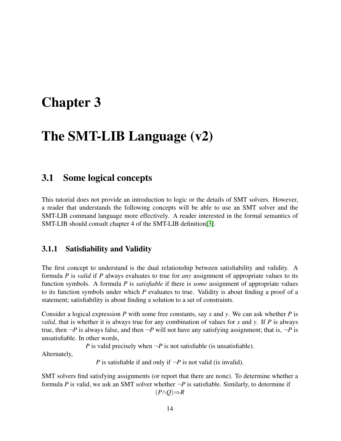# <span id="page-14-0"></span>Chapter 3

# The SMT-LIB Language (v2)

### <span id="page-14-1"></span>3.1 Some logical concepts

This tutorial does not provide an introduction to logic or the details of SMT solvers. However, a reader that understands the following concepts will be able to use an SMT solver and the SMT-LIB command language more effectively. A reader interested in the formal semantics of SMT-LIB should consult chapter 4 of the SMT-LIB definition[\[3\]](#page-70-4).

#### <span id="page-14-2"></span>3.1.1 Satisfiability and Validity

The first concept to understand is the dual relationship between satisfiability and validity. A formula *P* is *valid* if *P* always evaluates to true for *any* assignment of appropriate values to its function symbols. A formula *P* is *satisfiable* if there is *some* assignment of appropriate values to its function symbols under which *P* evaluates to true. Validity is about finding a proof of a statement; satisfiability is about finding a solution to a set of constraints.

Consider a logical expression *P* with some free constants, say *x* and *y*. We can ask whether *P* is *valid*, that is whether it is always true for any combination of values for *x* and *y*. If *P* is always true, then  $\neg P$  is always false, and then  $\neg P$  will not have any satisfying assignment; that is,  $\neg P$  is unsatisfiable. In other words,

*P* is valid precisely when  $\neg P$  is not satisfiable (is unsatisfiable).

Alternately,

*P* is satisfiable if and only if  $\neg P$  is not valid (is invalid).

SMT solvers find satisfying assignments (or report that there are none). To determine whether a formula *P* is valid, we ask an SMT solver whether  $\neg P$  is satisfiable. Similarly, to determine if (*P*∧*Q*)⇒*R*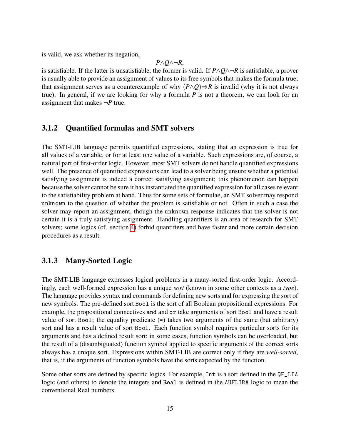is valid, we ask whether its negation,

$$
P \wedge Q \wedge \neg R,
$$

is satisfiable. If the latter is unsatisfiable, the former is valid. If  $P \land Q \land \neg R$  is satisfiable, a prover is usually able to provide an assignment of values to its free symbols that makes the formula true; that assignment serves as a counterexample of why  $(P \land Q) \Rightarrow R$  is invalid (why it is not always true). In general, if we are looking for why a formula *P* is not a theorem, we can look for an assignment that makes  $\neg P$  true.

#### <span id="page-15-0"></span>3.1.2 Quantified formulas and SMT solvers

The SMT-LIB language permits quantified expressions, stating that an expression is true for all values of a variable, or for at least one value of a variable. Such expressions are, of course, a natural part of first-order logic. However, most SMT solvers do not handle quantified expressions well. The presence of quantified expressions can lead to a solver being unsure whether a potential satisfying assignment is indeed a correct satisfying assignment; this phenomenon can happen because the solver cannot be sure it has instantiated the quantified expression for all cases relevant to the satisfiability problem at hand. Thus for some sets of formulae, an SMT solver may respond unknown to the question of whether the problem is satisfiable or not. Often in such a case the solver may report an assignment, though the unknown response indicates that the solver is not certain it is a truly satisfying assignment. Handling quantifiers is an area of research for SMT solvers; some logics (cf. section [4\)](#page-56-0) forbid quantifiers and have faster and more certain decision procedures as a result.

#### <span id="page-15-1"></span>3.1.3 Many-Sorted Logic

The SMT-LIB language expresses logical problems in a many-sorted first-order logic. Accordingly, each well-formed expression has a unique *sort* (known in some other contexts as a *type*). The language provides syntax and commands for defining new sorts and for expressing the sort of new symbols. The pre-defined sort Bool is the sort of all Boolean propositional expressions. For example, the propositional connectives and and or take arguments of sort Bool and have a result value of sort Bool; the equality predicate (=) takes two arguments of the same (but arbitrary) sort and has a result value of sort Bool. Each function symbol requires particular sorts for its arguments and has a defined result sort; in some cases, function symbols can be overloaded, but the result of a (disambiguated) function symbol applied to specific arguments of the correct sorts always has a unique sort. Expressions within SMT-LIB are correct only if they are *well-sorted*, that is, if the arguments of function symbols have the sorts expected by the function.

Some other sorts are defined by specific logics. For example, Int is a sort defined in the QF\_LIA logic (and others) to denote the integers and Real is defined in the AUFLIRA logic to mean the conventional Real numbers.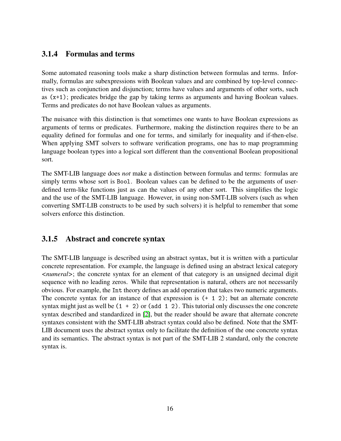### <span id="page-16-0"></span>3.1.4 Formulas and terms

Some automated reasoning tools make a sharp distinction between formulas and terms. Informally, formulas are subexpressions with Boolean values and are combined by top-level connectives such as conjunction and disjunction; terms have values and arguments of other sorts, such as (x+1); predicates bridge the gap by taking terms as arguments and having Boolean values. Terms and predicates do not have Boolean values as arguments.

The nuisance with this distinction is that sometimes one wants to have Boolean expressions as arguments of terms or predicates. Furthermore, making the distinction requires there to be an equality defined for formulas and one for terms, and similarly for inequality and if-then-else. When applying SMT solvers to software verification programs, one has to map programming language boolean types into a logical sort different than the conventional Boolean propositional sort.

The SMT-LIB language does *not* make a distinction between formulas and terms: formulas are simply terms whose sort is Bool. Boolean values can be defined to be the arguments of userdefined term-like functions just as can the values of any other sort. This simplifies the logic and the use of the SMT-LIB language. However, in using non-SMT-LIB solvers (such as when converting SMT-LIB constructs to be used by such solvers) it is helpful to remember that some solvers enforce this distinction.

### <span id="page-16-1"></span>3.1.5 Abstract and concrete syntax

The SMT-LIB language is described using an abstract syntax, but it is written with a particular concrete representation. For example, the language is defined using an abstract lexical category *<numeral>*; the concrete syntax for an element of that category is an unsigned decimal digit sequence with no leading zeros. While that representation is natural, others are not necessarily obvious. For example, the Int theory defines an add operation that takes two numeric arguments. The concrete syntax for an instance of that expression is (+ 1 2); but an alternate concrete syntax might just as well be  $(1 + 2)$  or  $(add 1 2)$ . This tutorial only discusses the one concrete syntax described and standardized in [\[2\]](#page-70-3), but the reader should be aware that alternate concrete syntaxes consistent with the SMT-LIB abstract syntax could also be defined. Note that the SMT-LIB document uses the abstract syntax only to facilitate the definition of the one concrete syntax and its semantics. The abstract syntax is not part of the SMT-LIB 2 standard, only the concrete syntax is.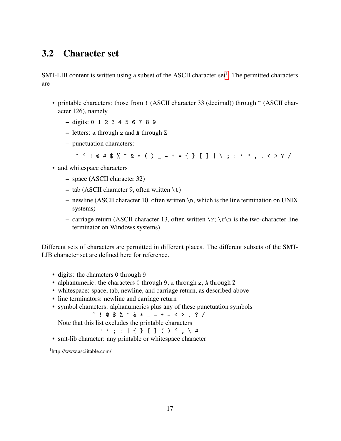## <span id="page-17-0"></span>3.2 Character set

SMT-LIB content is written using a subset of the ASCII character set<sup>[1](#page-17-1)</sup>. The permitted characters are

- printable characters: those from ! (ASCII character 33 (decimal)) through  $\tilde{ }$  (ASCII character 126), namely
	- digits: 0 1 2 3 4 5 6 7 8 9
	- letters: a through z and A through Z
	- punctuation characters:

~  $\cdot$  ! @ # \$ % ^ & \* ( ) \_ - + = { } [ ] | \ ; : ' " , . < > ? /

- and whitespace characters
	- space (ASCII character 32)
	- $-$  tab (ASCII character 9, often written \t)
	- newline (ASCII character 10, often written  $\n\times$ n, which is the line termination on UNIX systems)
	- carriage return (ASCII character 13, often written  $\r$ ;  $\r \n$  is the two-character line terminator on Windows systems)

Different sets of characters are permitted in different places. The different subsets of the SMT-LIB character set are defined here for reference.

- digits: the characters 0 through 9
- alphanumeric: the characters 0 through 9, a through z, A through Z
- whitespace: space, tab, newline, and carriage return, as described above
- line terminators: newline and carriage return
- symbol characters: alphanumerics plus any of these punctuation symbols  $\sim$  ! @ \$ %  $\sim$  & \* \_ - + = < > . ? /

Note that this list excludes the printable characters

 $" '$ ; : | { } [ ] ( )  $'$ ,  $\setminus$  #

• smt-lib character: any printable or whitespace character

<span id="page-17-1"></span><sup>1</sup>http://www.asciitable.com/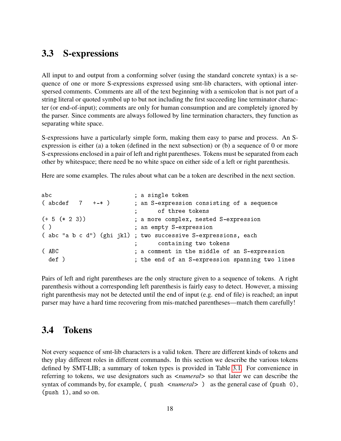## <span id="page-18-0"></span>3.3 S-expressions

All input to and output from a conforming solver (using the standard concrete syntax) is a sequence of one or more S-expressions expressed using smt-lib characters, with optional interspersed comments. Comments are all of the text beginning with a semicolon that is not part of a string literal or quoted symbol up to but not including the first succeeding line terminator character (or end-of-input); comments are only for human consumption and are completely ignored by the parser. Since comments are always followed by line termination characters, they function as separating white space.

S-expressions have a particularly simple form, making them easy to parse and process. An Sexpression is either (a) a token (defined in the next subsection) or (b) a sequence of 0 or more S-expressions enclosed in a pair of left and right parentheses. Tokens must be separated from each other by whitespace; there need be no white space on either side of a left or right parenthesis.

Here are some examples. The rules about what can be a token are described in the next section.

| abc                       | ; a single token                                               |
|---------------------------|----------------------------------------------------------------|
| $(\text{abcdef } 7 +-* )$ | ; an S-expression consisting of a sequence                     |
|                           | of three tokens                                                |
| $(+ 5 (* 2 3))$           | ; a more complex, nested S-expression                          |
| ( )                       | ; an empty S-expression                                        |
|                           | (abc "a b c d") (ghi jkl) ; two successive S-expressions, each |
|                           | containing two tokens                                          |
| (ABC)                     | ; a comment in the middle of an S-expression                   |
| def )                     | ; the end of an S-expression spanning two lines                |

Pairs of left and right parentheses are the only structure given to a sequence of tokens. A right parenthesis without a corresponding left parenthesis is fairly easy to detect. However, a missing right parenthesis may not be detected until the end of input (e.g. end of file) is reached; an input parser may have a hard time recovering from mis-matched parentheses—match them carefully!

### <span id="page-18-1"></span>3.4 Tokens

Not every sequence of smt-lib characters is a valid token. There are different kinds of tokens and they play different roles in different commands. In this section we describe the various tokens defined by SMT-LIB; a summary of token types is provided in Table [3.1.](#page-19-0) For convenience in referring to tokens, we use designators such as *<numeral>* so that later we can describe the syntax of commands by, for example, ( push  $\langle$  *numeral* > ) as the general case of (push 0), (push 1), and so on.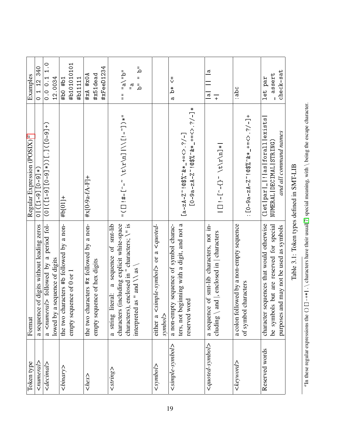<span id="page-19-1"></span><span id="page-19-0"></span>

| Token type                 | Format                                                 | Regular Expression (POSIX) <sup>a</sup>          | Examples                               |
|----------------------------|--------------------------------------------------------|--------------------------------------------------|----------------------------------------|
| $\leq$ numeral>            | of digits without leading zeros<br>a sequence          | $( *[6 - 0]$ [6-1])                              | 0 1 12 340                             |
| $\alpha$ decimal>          | a <numeral> followed by a period fol-</numeral>        | (+[6-0])['.]((*[6-0][6-1])[0)                    | 0.001110                               |
|                            | lowed by a sequence of digits                          |                                                  | 12.0034                                |
| $\langle binary \rangle$   | the two characters #b followed by a non-               | #b[01]+                                          | #b0 #b1                                |
|                            | empty sequence of 0 or 1                               |                                                  | #b101010101                            |
|                            |                                                        |                                                  | #b11111                                |
| $\text{<}$ hex>            | the two characters #x followed by a non-               | $+17-A^{-}B(-9a^{-}K)$                           | #xA #x0A                               |
|                            | empty sequence of hex digits                           |                                                  | #x51dead                               |
|                            |                                                        |                                                  | #xFeeD1234                             |
| $<$ string>                | a sequence of smt-lib<br>teral:<br>a string li         |                                                  |                                        |
|                            | (including explicit white-space<br>characters          | ι* ( [冫- i ]//l ['¤\ ̀дノ4\/ 冫- · _] -# i [ ] ) ι | $nq_{11}$ and $n_{11}$                 |
|                            | , enclosed in " characters; \" is<br>characters)       |                                                  | $\mathbb{R}$                           |
|                            | as " and $\setminus$ as $\setminus$<br>interpreted     |                                                  | "ם " "ם                                |
| $1$ oqua $0$               | $-quote$<br>$\langle$ simple-symbol> or a<br>either a  |                                                  |                                        |
|                            | symbol>                                                |                                                  |                                        |
| $\leq$ simple-symbol>      | a non-empty sequence of symbol charac-                 |                                                  | ∜<br>*مُ<br>$\sigma$                   |
|                            | ters, not beginning with a digit, and not a            | [a-zA-Z~!@\$%~&*_+=<>.?/-]                       |                                        |
|                            | reserved word                                          |                                                  |                                        |
| $\leq q$ uote $d$ -symbol> | of smt-lib characters, not in-<br>a sequence           |                                                  | $\frac{a}{\sqrt{a}}$<br>$\overline{a}$ |
|                            | cluding $\langle$ and $ $ , enclosed in $ $ characters | * ['¤\\+\' - \ - {`] - i [_]                     | $\overline{+}$                         |
| <keyword></keyword>        | a colon followed by a non-empty sequence               |                                                  | :abc                                   |
|                            | characters<br>of symbol                                | + [-\:\ <> -84-z4-y&^(\$@i); Z-H                 |                                        |
| Reserved words             | character sequences that would otherwise               | $(let   part   _!   is   for all  }{ext} )$      | let par                                |
|                            | be symbols but are reserved for special                | NUMERAL   DECIMAL   STRING)                      | assert                                 |
|                            | nd may not be used as symbols<br>purposes ar           | and all command names                            | $checkk$ -sat                          |
|                            |                                                        |                                                  |                                        |

Table 3.1: Token types defined in SMT-LIB Table 3.1: Token types defined in SMT-LIB  $a_{\text{In}}$  these regular expressions the ()  $\Box$ -+\*|.\ characters have their usual[\[7\]](#page-70-5) special meaning, with \ being the escape character.

"In these regular expressions the  $()$   $[]$  -+\*|. \ characters have their usual[7] special meaning, with \ being the escape character.

19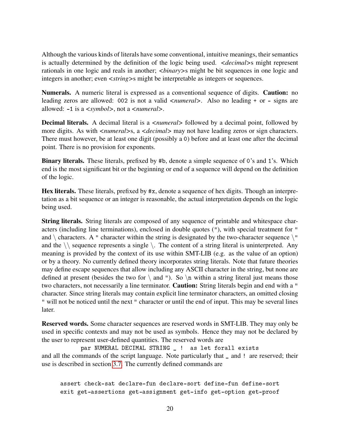Although the various kinds of literals have some conventional, intuitive meanings, their semantics is actually determined by the definition of the logic being used. *<decimal>*s might represent rationals in one logic and reals in another; *<binary>*s might be bit sequences in one logic and integers in another; even *<string>*s might be interpretable as integers or sequences.

Numerals. A numeric literal is expressed as a conventional sequence of digits. Caution: no leading zeros are allowed: 002 is not a valid *<numeral>*. Also no leading + or - signs are allowed: -1 is a *<symbol>*, not a *<numeral>*.

**Decimal literals.** A decimal literal is a *<numeral>* followed by a decimal point, followed by more digits. As with  $\langle$ *numeral* > s, a  $\langle$ *decimal* > may not have leading zeros or sign characters. There must however, be at least one digit (possibly a 0) before and at least one after the decimal point. There is no provision for exponents.

Binary literals. These literals, prefixed by #b, denote a simple sequence of 0's and 1's. Which end is the most significant bit or the beginning or end of a sequence will depend on the definition of the logic.

Hex literals. These literals, prefixed by #x, denote a sequence of hex digits. Though an interpretation as a bit sequence or an integer is reasonable, the actual interpretation depends on the logic being used.

String literals. String literals are composed of any sequence of printable and whitespace characters (including line terminations), enclosed in double quotes ("), with special treatment for " and  $\langle$  characters. A " character within the string is designated by the two-character sequence  $\langle$ " and the  $\setminus \setminus$  sequence represents a single  $\setminus$ . The content of a string literal is uninterpreted. Any meaning is provided by the context of its use within SMT-LIB (e.g. as the value of an option) or by a theory. No currently defined theory incorporates string literals. Note that future theories may define escape sequences that allow including any ASCII character in the string, but none are defined at present (besides the two for  $\setminus$  and "). So  $\setminus$ n within a string literal just means those two characters, not necessarily a line terminator. Caution: String literals begin and end with a " character. Since string literals may contain explicit line terminator characters, an omitted closing " will not be noticed until the next " character or until the end of input. This may be several lines later.

Reserved words. Some character sequences are reserved words in SMT-LIB. They may only be used in specific contexts and may not be used as symbols. Hence they may not be declared by the user to represent user-defined quantities. The reserved words are

par NUMERAL DECIMAL STRING \_ ! as let forall exists and all the commands of the script language. Note particularly that \_ and ! are reserved; their use is described in section [3.7.](#page-23-1) The currently defined commands are

assert check-sat declare-fun declare-sort define-fun define-sort exit get-assertions get-assignment get-info get-option get-proof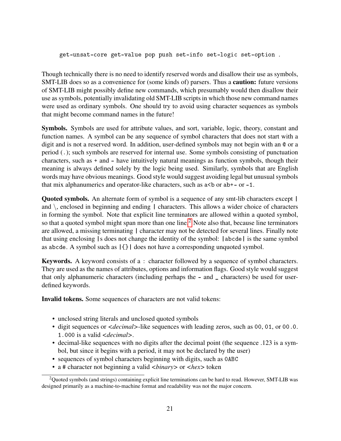get-unsat-core get-value pop push set-info set-logic set-option .

Though technically there is no need to identify reserved words and disallow their use as symbols, SMT-LIB does so as a convenience for (some kinds of) parsers. Thus a **caution:** future versions of SMT-LIB might possibly define new commands, which presumably would then disallow their use as symbols, potentially invalidating old SMT-LIB scripts in which those new command names were used as ordinary symbols. One should try to avoid using character sequences as symbols that might become command names in the future!

Symbols. Symbols are used for attribute values, and sort, variable, logic, theory, constant and function names. A symbol can be any sequence of symbol characters that does not start with a digit and is not a reserved word. In addition, user-defined symbols may not begin with an @ or a period (.); such symbols are reserved for internal use. Some symbols consisting of punctuation characters, such as + and - have intuitively natural meanings as function symbols, though their meaning is always defined solely by the logic being used. Similarly, symbols that are English words may have obvious meanings. Good style would suggest avoiding legal but unusual symbols that mix alphanumerics and operator-like characters, such as  $a < b$  or  $ab + -$  or  $-1$ .

Quoted symbols. An alternate form of symbol is a sequence of any smt-lib characters except | and  $\backslash$ , enclosed in beginning and ending  $\mid$  characters. This allows a wider choice of characters in forming the symbol. Note that explicit line terminators are allowed within a quoted symbol, so that a quoted symbol might span more than one line.<sup>[2](#page-21-0)</sup> Note also that, because line terminators are allowed, a missing terminating | character may not be detected for several lines. Finally note that using enclosing |s does not change the identity of the symbol: |abcde| is the same symbol as abcde. A symbol such as |{}| does not have a corresponding unquoted symbol.

Keywords. A keyword consists of a : character followed by a sequence of symbol characters. They are used as the names of attributes, options and information flags. Good style would suggest that only alphanumeric characters (including perhaps the - and \_ characters) be used for userdefined keywords.

Invalid tokens. Some sequences of characters are not valid tokens:

- unclosed string literals and unclosed quoted symbols
- digit sequences or *<decimal>*-like sequences with leading zeros, such as 00, 01, or 00.0. 1.000 is a valid *<decimal>*.
- decimal-like sequences with no digits after the decimal point (the sequence .123 is a symbol, but since it begins with a period, it may not be declared by the user)
- sequences of symbol characters beginning with digits, such as 0ABC
- <span id="page-21-0"></span>• a # character not beginning a valid *<binary>* or *<hex>* token

<sup>2</sup>Quoted symbols (and strings) containing explicit line terminations can be hard to read. However, SMT-LIB was designed primarily as a machine-to-machine format and readability was not the major concern.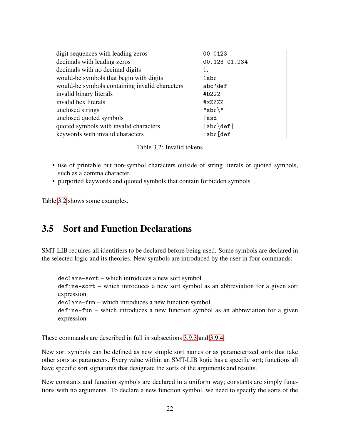| digit sequences with leading zeros             | 00 0123               |
|------------------------------------------------|-----------------------|
| decimals with leading zeros                    | 00.123 01.234         |
| decimals with no decimal digits                | 1.                    |
| would-be symbols that begin with digits        | 1abc                  |
| would-be symbols containing invalid characters | abc'def               |
| invalid binary literals                        | #b222                 |
| invalid hex literals                           | #xZZZZ                |
| unclosed strings                               | $"abc\$               |
| unclosed quoted symbols                        | lasd                  |
| quoted symbols with invalid characters         | $ abc\backslash def $ |
| keywords with invalid characters               | :abc[def]             |

<span id="page-22-1"></span>

- use of printable but non-symbol characters outside of string literals or quoted symbols, such as a comma character
- purported keywords and quoted symbols that contain forbidden symbols

Table [3.2](#page-22-1) shows some examples.

## <span id="page-22-0"></span>3.5 Sort and Function Declarations

SMT-LIB requires all identifiers to be declared before being used. Some symbols are declared in the selected logic and its theories. New symbols are introduced by the user in four commands:

declare-sort – which introduces a new sort symbol define-sort – which introduces a new sort symbol as an abbreviation for a given sort expression declare-fun – which introduces a new function symbol define-fun – which introduces a new function symbol as an abbreviation for a given expression

These commands are described in full in subsections [3.9.3](#page-35-0) and [3.9.4.](#page-36-0)

New sort symbols can be defined as new simple sort names or as parameterized sorts that take other sorts as parameters. Every value within an SMT-LIB logic has a specific sort; functions all have specific sort signatures that designate the sorts of the arguments and results.

New constants and function symbols are declared in a uniform way; constants are simply functions with no arguments. To declare a new function symbol, we need to specify the sorts of the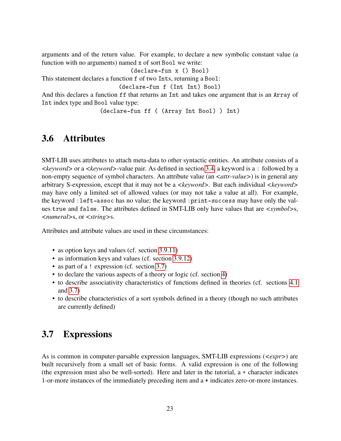arguments and of the return value. For example, to declare a new symbolic constant value (a function with no arguments) named x of sort Bool we write:

(declare-fun x () Bool)

This statement declares a function f of two Ints, returning a Bool:

(declare-fun f (Int Int) Bool)

And this declares a function ff that returns an Int and takes one argument that is an Array of Int index type and Bool value type:

(declare-fun ff ( (Array Int Bool) ) Int)

## <span id="page-23-0"></span>3.6 Attributes

SMT-LIB uses attributes to attach meta-data to other syntactic entities. An attribute consists of a *<keyword>* or a *<keyword>*-value pair. As defined in section [3.4,](#page-18-1) a keyword is a : followed by a non-empty sequence of symbol characters. An attribute value (an  $\langle \textit{attr-value} \rangle$ ) is in general any arbitrary S-expression, except that it may not be a *<keyword>*. But each individual *<keyword>* may have only a limited set of allowed values (or may not take a value at all). For example, the keyword :left-assoc has no value; the keyword :print-success may have only the values true and false. The attributes defined in SMT-LIB only have values that are *<symbol>*s, *<numeral>*s, or *<string>*s.

Attributes and attribute values are used in these circumstances:

- as option keys and values (cf. section [3.9.11\)](#page-48-0)
- as information keys and values (cf. section [3.9.12\)](#page-52-0)
- as part of a ! expression (cf. section [3.7\)](#page-23-1)
- to declare the various aspects of a theory or logic (cf. section [4\)](#page-56-0)
- to describe associativity characteristics of functions defined in theories (cf. sections [4.1](#page-57-0) and [3.7\)](#page-23-1)
- to describe characteristics of a sort symbols defined in a theory (though no such attributes are currently defined)

## <span id="page-23-1"></span>3.7 Expressions

As is common in computer-parsable expression languages, SMT-LIB expressions (*<expr>*) are built recursively from a small set of basic forms. A valid expression is one of the following (the expression must also be well-sorted). Here and later in the tutorial, a + character indicates 1-or-more instances of the immediately preceding item and a \* indicates zero-or-more instances.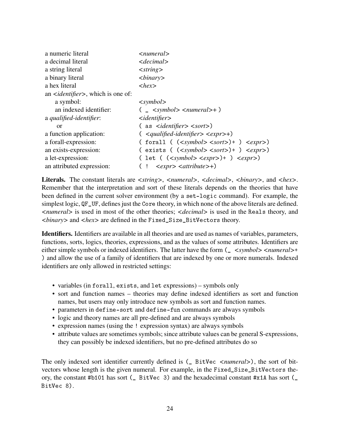| a numeric literal                                      | $\le$ numeral $>$                                                      |  |  |
|--------------------------------------------------------|------------------------------------------------------------------------|--|--|
| a decimal literal                                      | $\le$ decimal>                                                         |  |  |
| a string literal                                       | $\langle string \rangle$                                               |  |  |
| a binary literal                                       | $\langle binary \rangle$                                               |  |  |
| a hex literal                                          | $\langle$ hex $\rangle$                                                |  |  |
| an <i><identifier></identifier></i> , which is one of: |                                                                        |  |  |
| a symbol:                                              | $\langle$ symbol $\rangle$                                             |  |  |
| an indexed identifier:                                 | $($ $\le$ $\le$ symbol> $\le$ numeral>+ $)$                            |  |  |
| a qualified-identifier:                                | $\le$ <i>identifier</i> $>$                                            |  |  |
| or                                                     | $($ as $\le$ <i>identifier</i> $\le$ sort $>$ )                        |  |  |
| a function application:                                | $\left($ <qualified-identifier> <expr>+)</expr></qualified-identifier> |  |  |
| a forall-expression:                                   | ( forall ( $(symbol < sort) + ) expr)$                                 |  |  |
| an exists-expression:                                  | $(\text{exists} ((<symbol><sort>)+><expr>))$                           |  |  |
| a let-expression:                                      | ( let ( $(symbol < expr) + ) expr)$                                    |  |  |
| an attributed expression:                              | $\langle \textit{expr} \rangle \langle \textit{attribute} \rangle$ +)  |  |  |

Literals. The constant literals are *<string>*, *<numeral>*, *<decimal>*, *<br/>binary>*, and *<hex>*. Remember that the interpretation and sort of these literals depends on the theories that have been defined in the current solver environment (by a set-logic command). For example, the simplest logic, QF\_UF, defines just the Core theory, in which none of the above literals are defined. *<numeral>* is used in most of the other theories; *<decimal>* is used in the Reals theory, and *<binary>* and *<hex>* are defined in the Fixed\_Size\_BitVectors theory.

Identifiers. Identifiers are available in all theories and are used as names of variables, parameters, functions, sorts, logics, theories, expressions, and as the values of some attributes. Identifiers are either simple symbols or indexed identifiers. The latter have the form  $\left(\frac{\text{}{\epsilon}}{2}$  < *symbol* > < *numeral* > + ) and allow the use of a family of identifiers that are indexed by one or more numerals. Indexed identifiers are only allowed in restricted settings:

- variables (in forall, exists, and let expressions) symbols only
- sort and function names theories may define indexed identifiers as sort and function names, but users may only introduce new symbols as sort and function names.
- parameters in define-sort and define-fun commands are always symbols
- logic and theory names are all pre-defined and are always symbols
- expression names (using the ! expression syntax) are always symbols
- attribute values are sometimes symbols; since attribute values can be general S-expressions, they can possibly be indexed identifiers, but no pre-defined attributes do so

The only indexed sort identifier currently defined is  $($  BitVec  $\leq$  *numeral*>), the sort of bitvectors whose length is the given numeral. For example, in the Fixed\_Size\_BitVectors theory, the constant #b101 has sort (\_ BitVec 3) and the hexadecimal constant #x1A has sort (\_ BitVec 8).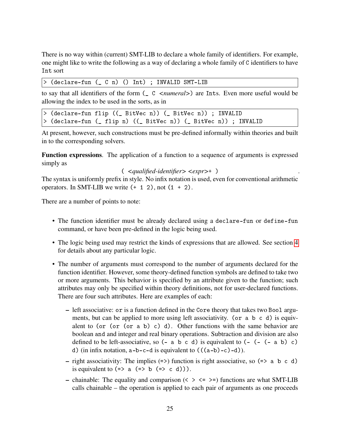There is no way within (current) SMT-LIB to declare a whole family of identifiers. For example, one might like to write the following as a way of declaring a whole family of C identifiers to have Int sort

> (declare-fun (\_ C n) () Int) ; INVALID SMT-LIB

to say that all identifiers of the form (\_ C *<numeral>*) are Ints. Even more useful would be allowing the index to be used in the sorts, as in

> (declare-fun flip ((\_ BitVec n)) (\_ BitVec n)) ; INVALID > (declare-fun (\_ flip n) ((\_ BitVec n)) (\_ BitVec n)) ; INVALID

At present, however, such constructions must be pre-defined informally within theories and built in to the corresponding solvers.

Function expressions. The application of a function to a sequence of arguments is expressed simply as

#### ( *<qualified-identifier> <expr>*+ ) .

The syntax is uniformly prefix in style. No infix notation is used, even for conventional arithmetic operators. In SMT-LIB we write  $(+ 1 2)$ , not  $(1 + 2)$ .

There are a number of points to note:

- The function identifier must be already declared using a declare-fun or define-fun command, or have been pre-defined in the logic being used.
- The logic being used may restrict the kinds of expressions that are allowed. See section [4](#page-56-0) for details about any particular logic.
- The number of arguments must correspond to the number of arguments declared for the function identifier. However, some theory-defined function symbols are defined to take two or more arguments. This behavior is specified by an attribute given to the function; such attributes may only be specified within theory definitions, not for user-declared functions. There are four such attributes. Here are examples of each:
	- left associative: or is a function defined in the Core theory that takes two Bool arguments, but can be applied to more using left associativity. (or a b c d) is equivalent to (or (or (or a b) c) d). Other functions with the same behavior are boolean and and integer and real binary operations. Subtraction and division are also defined to be left-associative, so  $(-a b c d)$  is equivalent to  $(-(-a b c c)$ d) (in infix notation,  $a-b-c-d$  is equivalent to  $((a-b)-c-d)$ ).
	- right associativity: The implies  $(\Rightarrow)$  function is right associative, so  $(\Rightarrow a \ b \ c \ d)$ is equivalent to  $(=> a (=> b (=> c d))).$
	- chainable: The equality and comparison  $(\langle \rangle \langle \rangle \langle \rangle)$  functions are what SMT-LIB calls chainable – the operation is applied to each pair of arguments as one proceeds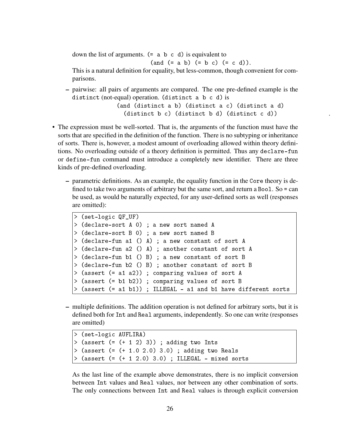down the list of arguments.  $(= a b c d)$  is equivalent to

(and (= a b) (= b c) (= c d)).

This is a natural definition for equality, but less-common, though convenient for comparisons.

- pairwise: all pairs of arguments are compared. The one pre-defined example is the distinct (not-equal) operation. (distinct a b c d) is (and (distinct a b) (distinct a c) (distinct a d)  $(distinct b c)$   $(distinct b d)$   $(distinct c d))$
- The expression must be well-sorted. That is, the arguments of the function must have the sorts that are specified in the definition of the function. There is no subtyping or inheritance of sorts. There is, however, a modest amount of overloading allowed within theory definitions. No overloading outside of a theory definition is permitted. Thus any declare-fun or define-fun command must introduce a completely new identifier. There are three kinds of pre-defined overloading.
	- parametric definitions. As an example, the equality function in the Core theory is defined to take two arguments of arbitrary but the same sort, and return a Bool. So = can be used, as would be naturally expected, for any user-defined sorts as well (responses are omitted):

```
> (set-logic QF_UF)
> (declare-sort A 0) ; a new sort named A
> (declare-sort B 0) ; a new sort named B
> (declare-fun a1 () A) ; a new constant of sort A
> (declare-fun a2 () A) ; another constant of sort A
> (declare-fun b1 () B) ; a new constant of sort B
> (declare-fun b2 () B) ; another constant of sort B
> (assert (= a1 a2)) ; comparing values of sort A
> (assert (= b1 b2)) ; comparing values of sort B
> (assert (= a1 b1)) ; ILLEGAL - a1 and b1 have different sorts
```
– multiple definitions. The addition operation is not defined for arbitrary sorts, but it is defined both for Int and Real arguments, independently. So one can write (responses are omitted)

```
> (set-logic AUFLIRA)
> (assert (= (+ 1 2) 3)); adding two Ints
> (assert (= (+ 1.0 2.0) 3.0) ; adding two Reals
> (assert (= (+ 1 2.0) 3.0) ; ILLEGAL - mixed sorts
```
As the last line of the example above demonstrates, there is no implicit conversion between Int values and Real values, nor between any other combination of sorts. The only connections between Int and Real values is through explicit conversion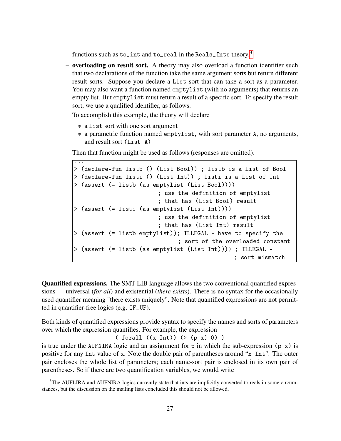functions such as to\_int and to\_real in the Reals\_Ints theory.<sup>[3](#page-27-0)</sup>

– overloading on result sort. A theory may also overload a function identifier such that two declarations of the function take the same argument sorts but return different result sorts. Suppose you declare a List sort that can take a sort as a parameter. You may also want a function named emptylist (with no arguments) that returns an empty list. But emptylist must return a result of a specific sort. To specify the result sort, we use a qualified identifier, as follows.

To accomplish this example, the theory will declare

- \* a List sort with one sort argument
- \* a parametric function named emptylist, with sort parameter A, no arguments, and result sort (List A)

Then that function might be used as follows (responses are omitted):

```
...
> (declare-fun listb () (List Bool)) ; listb is a List of Bool
> (declare-fun listi () (List Int)) ; listi is a List of Int
> (assert (= listb (as emptylist (List Bool))))
                        ; use the definition of emptylist
                         ; that has (List Bool) result
> (assert (= listi (as emptylist (List Int))))
                        ; use the definition of emptylist
                         ; that has (List Int) result
> (assert (= listb emptylist)); ILLEGAL - have to specify the
                              ; sort of the overloaded constant
> (assert (= listb (as emptylist (List Int)))) ; ILLEGAL -
                                               ; sort mismatch
```
Quantified expressions. The SMT-LIB language allows the two conventional quantified expressions — universal (*for all*) and existential (*there exists*). There is no syntax for the occasionally used quantifier meaning "there exists uniquely". Note that quantified expressions are not permitted in quantifier-free logics (e.g. QF\_UF).

Both kinds of quantified expressions provide syntax to specify the names and sorts of parameters over which the expression quantifies. For example, the expression

 $(\text{for all } ((x \text{ Int})) (\geq (p \text{ x}) 0))$ 

is true under the AUFNIRA logic and an assignment for  $p$  in which the sub-expression  $(p \times)$  is positive for any Int value of x. Note the double pair of parentheses around "x Int". The outer pair encloses the whole list of parameters; each name-sort pair is enclosed in its own pair of parentheses. So if there are two quantification variables, we would write

<span id="page-27-0"></span><sup>&</sup>lt;sup>3</sup>The AUFLIRA and AUFNIRA logics currently state that ints are implicitly converted to reals in some circumstances, but the discussion on the mailing lists concluded this should not be allowed.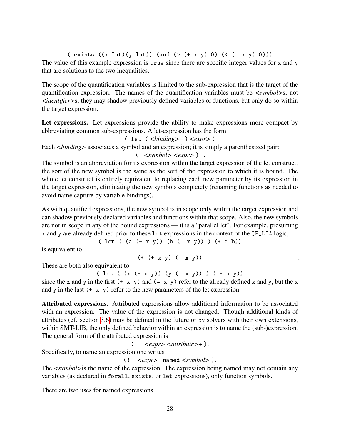( exists  $((x Int)(y Int))$  (and  $(>( + x y) 0) ((( - x y) 0)))$ The value of this example expression is true since there are specific integer values for x and y that are solutions to the two inequalities.

The scope of the quantification variables is limited to the sub-expression that is the target of the quantification expression. The names of the quantification variables must be *<symbol>*s, not *<identifier>*s; they may shadow previously defined variables or functions, but only do so within the target expression.

Let expressions. Let expressions provide the ability to make expressions more compact by abbreviating common sub-expressions. A let-expression has the form

( let ( *<binding>*+ ) *<expr>* )

Each *<br/>binding>* associates a symbol and an expression; it is simply a parenthesized pair:

$$
(\quad \! <\! exp r\! >\ )~~.
$$

The symbol is an abbreviation for its expression within the target expression of the let construct; the sort of the new symbol is the same as the sort of the expression to which it is bound. The whole let construct is entirely equivalent to replacing each new parameter by its expression in the target expression, eliminating the new symbols completely (renaming functions as needed to avoid name capture by variable bindings).

As with quantified expressions, the new symbol is in scope only within the target expression and can shadow previously declared variables and functions within that scope. Also, the new symbols are not in scope in any of the bound expressions — it is a "parallel let". For example, presuming x and y are already defined prior to these let expressions in the context of the QF\_LIA logic,

(
$$
let ( (a (+ x y)) (b (- x y)) ) (+ a b))
$$

is equivalent to

$$
(+ (+ x y) (- x y))
$$

These are both also equivalent to

( let ( (x (+ x y)) (y (- x y)) ) ( + x y)) since the x and y in the first  $(+ x y)$  and  $(- x y)$  refer to the already defined x and y, but the x and y in the last  $(+ x y)$  refer to the new parameters of the let expression.

Attributed expressions. Attributed expressions allow additional information to be associated with an expression. The value of the expression is not changed. Though additional kinds of attributes (cf. section [3.6\)](#page-23-0) may be defined in the future or by solvers with their own extensions, within SMT-LIB, the only defined behavior within an expression is to name the (sub-)expression. The general form of the attributed expression is

(! *<expr> <attribute>*+ ).

Specifically, to name an expression one writes

(! *<expr>* :named *<symbol>* ).

The *<symbol>*is the name of the expression. The expression being named may not contain any variables (as declared in forall, exists, or let expressions), only function symbols.

There are two uses for named expressions.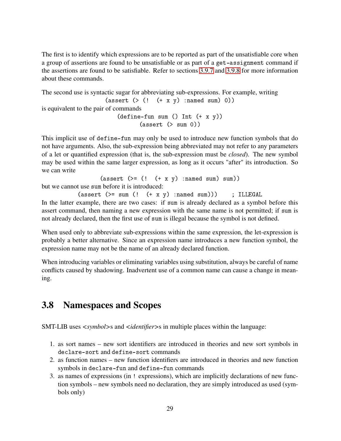The first is to identify which expressions are to be reported as part of the unsatisfiable core when a group of assertions are found to be unsatisfiable or as part of a get-assignment command if the assertions are found to be satisfiable. Refer to sections [3.9.7](#page-39-0) and [3.9.8](#page-42-0) for more information about these commands.

The second use is syntactic sugar for abbreviating sub-expressions. For example, writing (assert  $(>(!$   $(+ x y)$  : named sum) 0)) is equivalent to the pair of commands  $(\text{define-fun sum } () \text{ Int } (+ x y))$  $(\text{assert } (\text{& sum 0}))$ 

This implicit use of define-fun may only be used to introduce new function symbols that do not have arguments. Also, the sub-expression being abbreviated may not refer to any parameters of a let or quantified expression (that is, the sub-expression must be *closed*). The new symbol may be used within the same larger expression, as long as it occurs "after" its introduction. So we can write

```
(\text{assert } (>= (! (+ x y) : \text{named sum}) \text{ sum}))
```
but we cannot use sum before it is introduced:

 $(\text{assert } (>= \text{sum } (! \quad (+ \times y) \text{ : named sum})))$  ; ILLEGAL In the latter example, there are two cases: if sum is already declared as a symbol before this assert command, then naming a new expression with the same name is not permitted; if sum is not already declared, then the first use of sum is illegal because the symbol is not defined.

When used only to abbreviate sub-expressions within the same expression, the let-expression is probably a better alternative. Since an expression name introduces a new function symbol, the expression name may not be the name of an already declared function.

When introducing variables or eliminating variables using substitution, always be careful of name conflicts caused by shadowing. Inadvertent use of a common name can cause a change in meaning.

# <span id="page-29-0"></span>3.8 Namespaces and Scopes

SMT-LIB uses *<symbol>*s and *<identifier>*s in multiple places within the language:

- 1. as sort names new sort identifiers are introduced in theories and new sort symbols in declare-sort and define-sort commands
- 2. as function names new function identifiers are introduced in theories and new function symbols in declare-fun and define-fun commands
- 3. as names of expressions (in ! expressions), which are implicitly declarations of new function symbols – new symbols need no declaration, they are simply introduced as used (symbols only)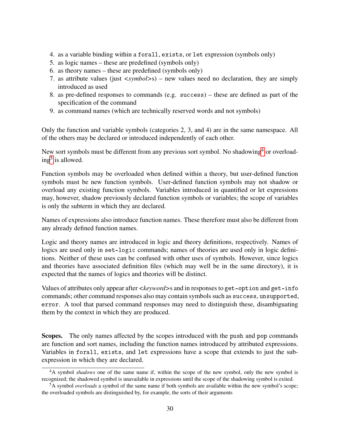- 4. as a variable binding within a forall, exists, or let expression (symbols only)
- 5. as logic names these are predefined (symbols only)
- 6. as theory names these are predefined (symbols only)
- 7. as attribute values (just *<symbol>*s) new values need no declaration, they are simply introduced as used
- 8. as pre-defined responses to commands (e.g. success) these are defined as part of the specification of the command
- 9. as command names (which are technically reserved words and not symbols)

Only the function and variable symbols (categories 2, 3, and 4) are in the same namespace. All of the others may be declared or introduced independently of each other.

New sort symbols must be different from any previous sort symbol. No shadowing<sup>[4](#page-30-0)</sup> or overload-ing<sup>[5](#page-30-1)</sup> is allowed.

Function symbols may be overloaded when defined within a theory, but user-defined function symbols must be new function symbols. User-defined function symbols may not shadow or overload any existing function symbols. Variables introduced in quantified or let expressions may, however, shadow previously declared function symbols or variables; the scope of variables is only the subterm in which they are declared.

Names of expressions also introduce function names. These therefore must also be different from any already defined function names.

Logic and theory names are introduced in logic and theory definitions, respectively. Names of logics are used only in set-logic commands; names of theories are used only in logic definitions. Neither of these uses can be confused with other uses of symbols. However, since logics and theories have associated definition files (which may well be in the same directory), it is expected that the names of logics and theories will be distinct.

Values of attributes only appear after *<keyword*>s and in responses to get-option and get-info commands; other command responses also may contain symbols such as success, unsupported, error. A tool that parsed command responses may need to distinguish these, disambiguating them by the context in which they are produced.

Scopes. The only names affected by the scopes introduced with the push and pop commands are function and sort names, including the function names introduced by attributed expressions. Variables in forall, exists, and let expressions have a scope that extends to just the subexpression in which they are declared.

<span id="page-30-0"></span><sup>4</sup>A symbol *shadows* one of the same name if, within the scope of the new symbol, only the new symbol is recognized; the shadowed symbol is unavailable in expressions until the scope of the shadowing symbol is exited.

<span id="page-30-1"></span><sup>5</sup>A symbol *overloads* a symbol of the same name if both symbols are available within the new symbol's scope; the overloaded symbols are distinguished by, for example, the sorts of their arguments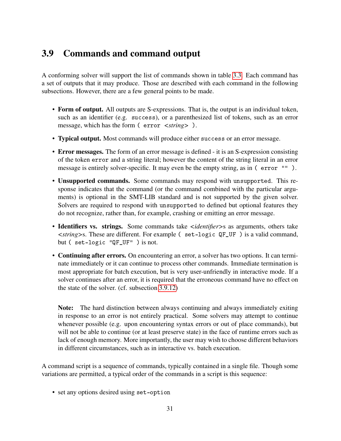# <span id="page-31-0"></span>3.9 Commands and command output

A conforming solver will support the list of commands shown in table [3.3.](#page-32-0) Each command has a set of outputs that it may produce. Those are described with each command in the following subsections. However, there are a few general points to be made.

- Form of output. All outputs are S-expressions. That is, the output is an individual token, such as an identifier (e.g. success), or a parenthesized list of tokens, such as an error message, which has the form ( error *<string>* ).
- Typical output. Most commands will produce either success or an error message.
- Error messages. The form of an error message is defined it is an S-expression consisting of the token error and a string literal; however the content of the string literal in an error message is entirely solver-specific. It may even be the empty string, as in (error "").
- Unsupported commands. Some commands may respond with unsupported. This response indicates that the command (or the command combined with the particular arguments) is optional in the SMT-LIB standard and is not supported by the given solver. Solvers are required to respond with unsupported to defined but optional features they do not recognize, rather than, for example, crashing or emitting an error message.
- Identifiers vs. strings. Some commands take *<identifier>*s as arguments, others take *<string>*s. These are different. For example ( set-logic QF\_UF ) is a valid command, but ( set-logic "QF\_UF" ) is not.
- Continuing after errors. On encountering an error, a solver has two options. It can terminate immediately or it can continue to process other commands. Immediate termination is most appropriate for batch execution, but is very user-unfriendly in interactive mode. If a solver continues after an error, it is required that the erroneous command have no effect on the state of the solver. (cf. subsection [3.9.12\)](#page-54-0)

Note: The hard distinction between always continuing and always immediately exiting in response to an error is not entirely practical. Some solvers may attempt to continue whenever possible (e.g. upon encountering syntax errors or out of place commands), but will not be able to continue (or at least preserve state) in the face of runtime errors such as lack of enough memory. More importantly, the user may wish to choose different behaviors in different circumstances, such as in interactive vs. batch execution.

A command script is a sequence of commands, typically contained in a single file. Though some variations are permitted, a typical order of the commands in a script is this sequence:

• set any options desired using set-option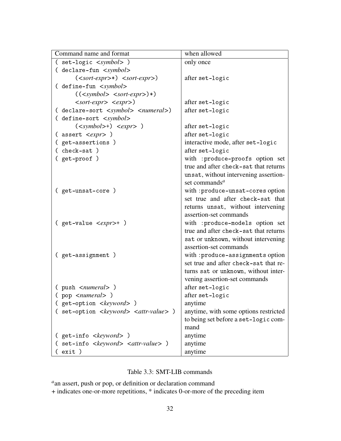| Command name and format                                    | when allowed                           |
|------------------------------------------------------------|----------------------------------------|
| (set-logic <symbol>)</symbol>                              | only once                              |
| ( declare-fun <symbol></symbol>                            |                                        |
| $(sort-expr*) sort-expr)$                                  | after set-logic                        |
| ( define-fun <symbol></symbol>                             |                                        |
| (( <symbol>~</symbol>                                      |                                        |
| $\langle sort\text{-}expr \rangle \langle expr \rangle$    | after set-logic                        |
| ( declare-sort <symbol> <numeral>)</numeral></symbol>      | after set-logic                        |
| ( define-sort <symbol></symbol>                            |                                        |
| $(symbol)> +) expr > 0$                                    | after set-logic                        |
| ( assert <expr> )</expr>                                   | after set-logic                        |
| (get-assertions)                                           | interactive mode, after set-logic      |
| (check-sat)                                                | after set-logic                        |
| ( get-proof )                                              | with : produce-proofs option set       |
|                                                            | true and after check-sat that returns  |
|                                                            | unsat, without intervening assertion-  |
|                                                            | set commands <sup><math>a</math></sup> |
| (get-unsat-core)                                           | with : produce-unsat-cores option      |
|                                                            | set true and after check-sat that      |
|                                                            | returns unsat, without intervening     |
|                                                            | assertion-set commands                 |
| (get-value <expr>+)</expr>                                 | with : produce-models option set       |
|                                                            | true and after check-sat that returns  |
|                                                            | sat or unknown, without intervening    |
|                                                            | assertion-set commands                 |
| (get-assignment)                                           | with: produce-assignments option       |
|                                                            | set true and after check-sat that re-  |
|                                                            | turns sat or unknown, without inter-   |
|                                                            | vening assertion-set commands          |
| ( push <i><numeral></numeral></i> )                        | after set-logic                        |
| (pop <numeral>)</numeral>                                  | after set-logic                        |
| (get-option <keyword>)</keyword>                           | anytime                                |
| (set-option <keyword> <attr-value>)</attr-value></keyword> | anytime, with some options restricted  |
|                                                            | to being set before a set-logic com-   |
|                                                            | mand                                   |
| ( get-info < <i>keyword</i> > )                            | anytime                                |
| ( set-info <keyword> <attr-value> )</attr-value></keyword> | anytime                                |
| ( exit )                                                   | anytime                                |

### <span id="page-32-0"></span>Table 3.3: SMT-LIB commands

*a* an assert, push or pop, or definition or declaration command

+ indicates one-or-more repetitions, \* indicates 0-or-more of the preceding item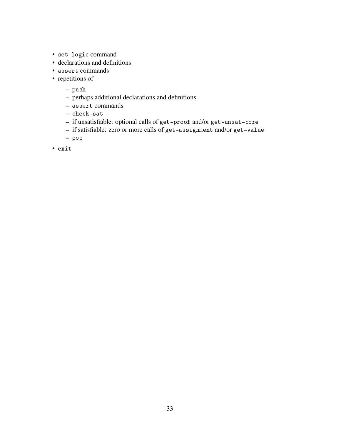- set-logic command
- declarations and definitions
- assert commands
- repetitions of
	- push
	- perhaps additional declarations and definitions
	- assert commands
	- check-sat
	- if unsatisfiable: optional calls of get-proof and/or get-unsat-core
	- if satisfiable: zero or more calls of get-assignment and/or get-value
	- pop
- exit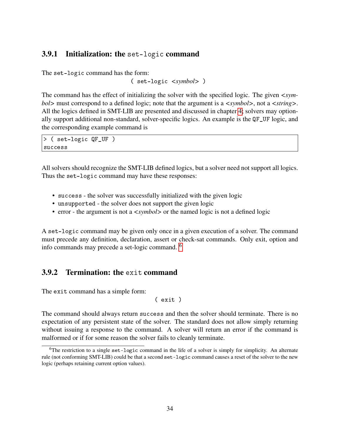### <span id="page-34-0"></span>3.9.1 Initialization: the set-logic command

The set-logic command has the form:

( set-logic *<symbol>* )

The command has the effect of initializing the solver with the specified logic. The given *<symbol>* must correspond to a defined logic; note that the argument is a *<symbol>*, not a *<string>*. All the logics defined in SMT-LIB are presented and discussed in chapter [4;](#page-56-0) solvers may optionally support additional non-standard, solver-specific logics. An example is the QF\_UF logic, and the corresponding example command is

> ( set-logic QF\_UF ) success

All solvers should recognize the SMT-LIB defined logics, but a solver need not support all logics. Thus the set-logic command may have these responses:

- success the solver was successfully initialized with the given logic
- unsupported the solver does not support the given logic
- error the argument is not a  $\langle \textit{symbol} \rangle$  or the named logic is not a defined logic

A set-logic command may be given only once in a given execution of a solver. The command must precede any definition, declaration, assert or check-sat commands. Only exit, option and info commands may precede a set-logic command. [6](#page-34-2)

### <span id="page-34-1"></span>3.9.2 Termination: the exit command

The exit command has a simple form:

( exit )

The command should always return success and then the solver should terminate. There is no expectation of any persistent state of the solver. The standard does not allow simply returning without issuing a response to the command. A solver will return an error if the command is malformed or if for some reason the solver fails to cleanly terminate.

<span id="page-34-2"></span><sup>6</sup>The restriction to a single set-logic command in the life of a solver is simply for simplicity. An alternate rule (not conforming SMT-LIB) could be that a second set-logic command causes a reset of the solver to the new logic (perhaps retaining current option values).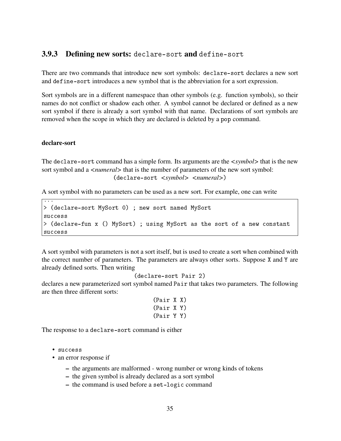### <span id="page-35-0"></span>3.9.3 Defining new sorts: declare-sort and define-sort

There are two commands that introduce new sort symbols: declare-sort declares a new sort and define-sort introduces a new symbol that is the abbreviation for a sort expression.

Sort symbols are in a different namespace than other symbols (e.g. function symbols), so their names do not conflict or shadow each other. A symbol cannot be declared or defined as a new sort symbol if there is already a sort symbol with that name. Declarations of sort symbols are removed when the scope in which they are declared is deleted by a pop command.

#### declare-sort

The declare-sort command has a simple form. Its arguments are the *<symbol>* that is the new sort symbol and a *<numeral* > that is the number of parameters of the new sort symbol: (declare-sort *<symbol> <numeral>*)

A sort symbol with no parameters can be used as a new sort. For example, one can write

```
...
> (declare-sort MySort 0) ; new sort named MySort
success
> (declare-fun x () MySort) ; using MySort as the sort of a new constant
success
```
A sort symbol with parameters is not a sort itself, but is used to create a sort when combined with the correct number of parameters. The parameters are always other sorts. Suppose X and Y are already defined sorts. Then writing

```
(declare-sort Pair 2)
```
declares a new parameterized sort symbol named Pair that takes two parameters. The following are then three different sorts:

```
(Pair X X)
(Pair X Y)
(Pair Y Y)
```
The response to a declare-sort command is either

• success

- an error response if
	- the arguments are malformed wrong number or wrong kinds of tokens
	- the given symbol is already declared as a sort symbol
	- the command is used before a set-logic command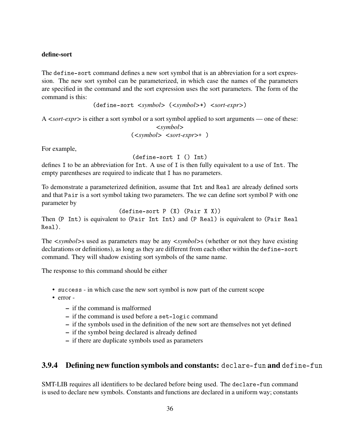#### define-sort

The define-sort command defines a new sort symbol that is an abbreviation for a sort expression. The new sort symbol can be parameterized, in which case the names of the parameters are specified in the command and the sort expression uses the sort parameters. The form of the command is this:

(define-sort *<symbol>* (*<symbol>*\*) *<sort-expr>*)

A *<sort-expr>* is either a sort symbol or a sort symbol applied to sort arguments — one of these: *<symbol>*

(*<symbol> <sort-expr>*+ )

For example,

(define-sort I () Int)

defines I to be an abbreviation for Int. A use of I is then fully equivalent to a use of Int. The empty parentheses are required to indicate that I has no parameters.

To demonstrate a parameterized definition, assume that Int and Real are already defined sorts and that Pair is a sort symbol taking two parameters. The we can define sort symbol P with one parameter by

```
(define-sort P (X) (Pair X X))
```
Then (P Int) is equivalent to (Pair Int Int) and (P Real) is equivalent to (Pair Real Real).

The *<symbol>*s used as parameters may be any *<symbol>*s (whether or not they have existing declarations or definitions), as long as they are different from each other within the define-sort command. They will shadow existing sort symbols of the same name.

The response to this command should be either

- success in which case the new sort symbol is now part of the current scope
- error
	- if the command is malformed
	- if the command is used before a set-logic command
	- if the symbols used in the definition of the new sort are themselves not yet defined
	- if the symbol being declared is already defined
	- if there are duplicate symbols used as parameters

## 3.9.4 Defining new function symbols and constants: declare-fun and define-fun

SMT-LIB requires all identifiers to be declared before being used. The declare-fun command is used to declare new symbols. Constants and functions are declared in a uniform way; constants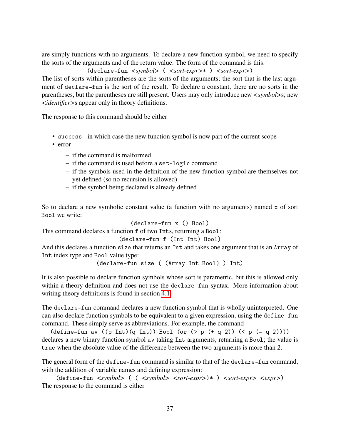are simply functions with no arguments. To declare a new function symbol, we need to specify the sorts of the arguments and of the return value. The form of the command is this:

(declare-fun *<symbol>* ( *<sort-expr>*\* ) *<sort-expr>*)

The list of sorts within parentheses are the sorts of the arguments; the sort that is the last argument of declare-fun is the sort of the result. To declare a constant, there are no sorts in the parentheses, but the parentheses are still present. Users may only introduce new *<symbol>*s; new *<identifier>*s appear only in theory definitions.

The response to this command should be either

- success in which case the new function symbol is now part of the current scope
- error
	- if the command is malformed
	- if the command is used before a set-logic command
	- if the symbols used in the definition of the new function symbol are themselves not yet defined (so no recursion is allowed)
	- if the symbol being declared is already defined

So to declare a new symbolic constant value (a function with no arguments) named x of sort Bool we write:

$$
(dec1are-fun x () Bool)
$$

This command declares a function f of two Ints, returning a Bool:

```
(declare-fun f (Int Int) Bool)
```
And this declares a function size that returns an Int and takes one argument that is an Array of Int index type and Bool value type:

(declare-fun size ( (Array Int Bool) ) Int)

It is also possible to declare function symbols whose sort is parametric, but this is allowed only within a theory definition and does not use the declare-fun syntax. More information about writing theory definitions is found in section [4.1.](#page-57-0)

The declare-fun command declares a new function symbol that is wholly uninterpreted. One can also declare function symbols to be equivalent to a given expression, using the define-fun command. These simply serve as abbreviations. For example, the command

(define-fun av  $((p Int)(q Int))$  Bool (or  $($  >  $p ( + q 2)) ($   $($   $p ( - q 2))))$ declares a new binary function symbol av taking Int arguments, returning a Bool; the value is true when the absolute value of the difference between the two arguments is more than 2.

The general form of the define-fun command is similar to that of the declare-fun command, with the addition of variable names and defining expression:

(define-fun *<symbol>* ( ( *<symbol> <sort-expr>*)\* ) *<sort-expr> <expr>*) The response to the command is either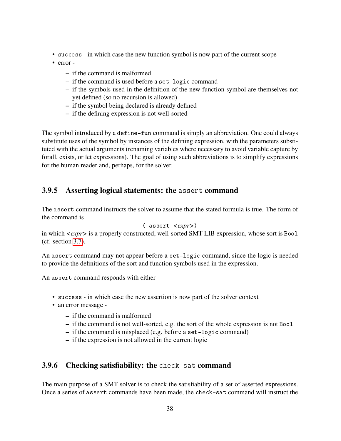- success in which case the new function symbol is now part of the current scope
- error
	- if the command is malformed
	- if the command is used before a set-logic command
	- if the symbols used in the definition of the new function symbol are themselves not yet defined (so no recursion is allowed)
	- if the symbol being declared is already defined
	- if the defining expression is not well-sorted

The symbol introduced by a define-fun command is simply an abbreviation. One could always substitute uses of the symbol by instances of the defining expression, with the parameters substituted with the actual arguments (renaming variables where necessary to avoid variable capture by forall, exists, or let expressions). The goal of using such abbreviations is to simplify expressions for the human reader and, perhaps, for the solver.

### 3.9.5 Asserting logical statements: the assert command

The assert command instructs the solver to assume that the stated formula is true. The form of the command is

```
( assert <expr>)
```
in which *<expr>* is a properly constructed, well-sorted SMT-LIB expression, whose sort is Bool (cf. section [3.7\)](#page-23-0).

An assert command may not appear before a set-logic command, since the logic is needed to provide the definitions of the sort and function symbols used in the expression.

An assert command responds with either

- success in which case the new assertion is now part of the solver context
- an error message
	- if the command is malformed
	- if the command is not well-sorted, e.g. the sort of the whole expression is not Bool
	- if the command is misplaced (e.g. before a set-logic command)
	- if the expression is not allowed in the current logic

## 3.9.6 Checking satisfiability: the check-sat command

The main purpose of a SMT solver is to check the satisfiability of a set of asserted expressions. Once a series of assert commands have been made, the check-sat command will instruct the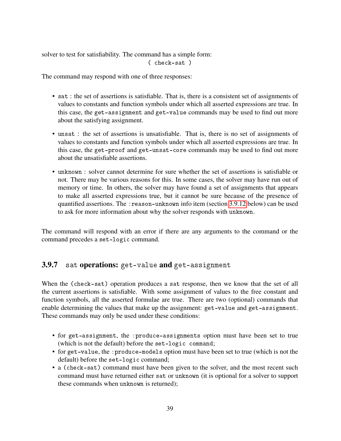solver to test for satisfiability. The command has a simple form: ( check-sat )

The command may respond with one of three responses:

- sat : the set of assertions is satisfiable. That is, there is a consistent set of assignments of values to constants and function symbols under which all asserted expressions are true. In this case, the get-assignment and get-value commands may be used to find out more about the satisfying assignment.
- unsat : the set of assertions is unsatisfiable. That is, there is no set of assignments of values to constants and function symbols under which all asserted expressions are true. In this case, the get-proof and get-unsat-core commands may be used to find out more about the unsatisfiable assertions.
- unknown : solver cannot determine for sure whether the set of assertions is satisfiable or not. There may be various reasons for this. In some cases, the solver may have run out of memory or time. In others, the solver may have found a set of assignments that appears to make all asserted expressions true, but it cannot be sure because of the presence of quantified assertions. The :reason-unknown info item (section [3.9.12](#page-52-0) below) can be used to ask for more information about why the solver responds with unknown.

The command will respond with an error if there are any arguments to the command or the command precedes a set-logic command.

#### 3.9.7 sat operations: get-value and get-assignment

When the (check-sat) operation produces a sat response, then we know that the set of all the current assertions is satisfiable. With some assignment of values to the free constant and function symbols, all the asserted formulae are true. There are two (optional) commands that enable determining the values that make up the assignment: get-value and get-assignment. These commands may only be used under these conditions:

- for get-assignment, the :produce-assignments option must have been set to true (which is not the default) before the set-logic command;
- for get-value, the : produce-models option must have been set to true (which is not the default) before the set-logic command;
- a (check-sat) command must have been given to the solver, and the most recent such command must have returned either sat or unknown (it is optional for a solver to support these commands when unknown is returned);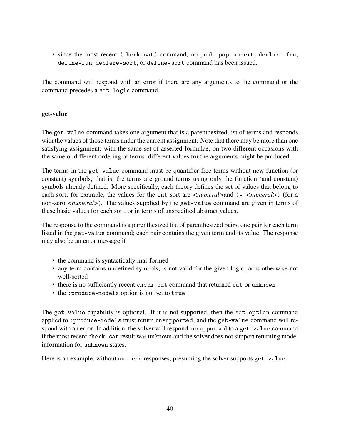• since the most recent (check-sat) command, no push, pop, assert, declare-fun, define-fun, declare-sort, or define-sort command has been issued.

The command will respond with an error if there are any arguments to the command or the command precedes a set-logic command.

#### get-value

The get-value command takes one argument that is a parenthesized list of terms and responds with the values of those terms under the current assignment. Note that there may be more than one satisfying assignment; with the same set of asserted formulae, on two different occasions with the same or different ordering of terms, different values for the arguments might be produced.

The terms in the get-value command must be quantifier-free terms without new function (or constant) symbols; that is, the terms are ground terms using only the function (and constant) symbols already defined. More specifically, each theory defines the set of values that belong to each sort; for example, the values for the Int sort are  $\langle$ *numeral* > and  $($  -  $\langle$ *numeral* >  $)$  (for a non-zero *<numeral>*). The values supplied by the get-value command are given in terms of these basic values for each sort, or in terms of unspecified abstract values.

The response to the command is a parenthesized list of parenthesized pairs, one pair for each term listed in the get-value command; each pair contains the given term and its value. The response may also be an error message if

- the command is syntactically mal-formed
- any term contains undefined symbols, is not valid for the given logic, or is otherwise not well-sorted
- there is no sufficiently recent check-sat command that returned sat or unknown
- the :produce-models option is not set to true

The get-value capability is optional. If it is not supported, then the set-option command applied to :produce-models must return unsupported, and the get-value command will respond with an error. In addition, the solver will respond unsupported to a get-value command if the most recent check-sat result was unknown and the solver does not support returning model information for unknown states.

Here is an example, without success responses, presuming the solver supports get-value.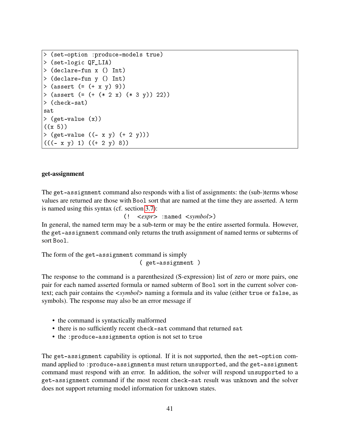```
> (set-option :produce-models true)
> (set-logic QF_LIA)
> (declare-fun x () Int)
> (declare-fun y () Int)
> (assert (= (+ x y) 9))
> (assert (= (+ (* 2 x) (* 3 y)) 22))
> (check-sat)
sat
> (get-value (x))
((x 5))> (get-value ((- x y) (+ 2 y)))((( - x y) 1) (( + 2 y) 8))
```
#### get-assignment

The get-assignment command also responds with a list of assignments: the (sub-)terms whose values are returned are those with Bool sort that are named at the time they are asserted. A term is named using this syntax (cf. section [3.7\)](#page-23-0):

```
(! <expr> :named <symbol>)
```
In general, the named term may be a sub-term or may be the entire asserted formula. However, the get-assignment command only returns the truth assignment of named terms or subterms of sort Bool.

The form of the get-assignment command is simply ( get-assignment )

The response to the command is a parenthesized (S-expression) list of zero or more pairs, one pair for each named asserted formula or named subterm of Bool sort in the current solver context; each pair contains the *<symbol>* naming a formula and its value (either true or false, as symbols). The response may also be an error message if

- the command is syntactically malformed
- there is no sufficiently recent check-sat command that returned sat
- the :produce-assignments option is not set to true

The get-assignment capability is optional. If it is not supported, then the set-option command applied to : produce-assignments must return unsupported, and the get-assignment command must respond with an error. In addition, the solver will respond unsupported to a get-assignment command if the most recent check-sat result was unknown and the solver does not support returning model information for unknown states.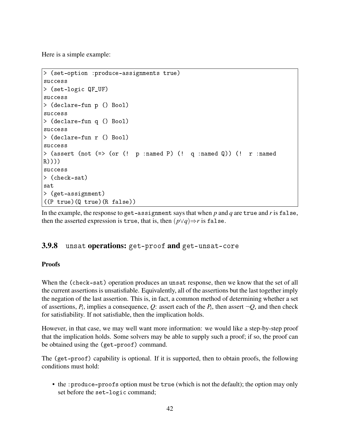Here is a simple example:

```
> (set-option :produce-assignments true)
success
> (set-logic QF_UF)
success
> (declare-fun p () Bool)
success
> (declare-fun q () Bool)
success
> (declare-fun r () Bool)
success
> (assert (not (=> (or (! p :named P) (! q :named Q)) (! r :named
R))))
success
> (check-sat)
sat
> (get-assignment)
((P true)(Q true)(R false))
```
In the example, the response to get-assignment says that when *p* and *q* are true and *r* is false, then the asserted expression is true, that is, then  $(p\vee q) \Rightarrow r$  is false.

## 3.9.8 unsat operations: get-proof and get-unsat-core

#### Proofs

When the (check-sat) operation produces an unsat response, then we know that the set of all the current assertions is unsatisfiable. Equivalently, all of the assertions but the last together imply the negation of the last assertion. This is, in fact, a common method of determining whether a set of assertions,  $P_i$ , implies a consequence,  $Q$ : assert each of the  $P_i$ , then assert  $\neg Q$ , and then check for satisfiability. If not satisfiable, then the implication holds.

However, in that case, we may well want more information: we would like a step-by-step proof that the implication holds. Some solvers may be able to supply such a proof; if so, the proof can be obtained using the (get-proof) command.

The (get-proof) capability is optional. If it is supported, then to obtain proofs, the following conditions must hold:

• the :produce-proofs option must be true (which is not the default); the option may only set before the set-logic command;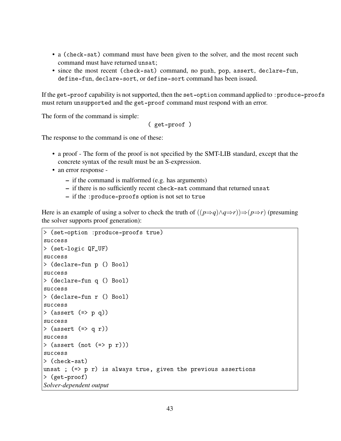- a (check-sat) command must have been given to the solver, and the most recent such command must have returned unsat;
- since the most recent (check-sat) command, no push, pop, assert, declare-fun, define-fun, declare-sort, or define-sort command has been issued.

If the get-proof capability is not supported, then the set-option command applied to : produce-proofs must return unsupported and the get-proof command must respond with an error.

The form of the command is simple:

( get-proof )

The response to the command is one of these:

- a proof The form of the proof is not specified by the SMT-LIB standard, except that the concrete syntax of the result must be an S-expression.
- an error response
	- if the command is malformed (e.g. has arguments)
	- if there is no sufficiently recent check-sat command that returned unsat
	- if the :produce-proofs option is not set to true

Here is an example of using a solver to check the truth of  $((p\Rightarrow q) \land q \Rightarrow r) \Rightarrow (p \Rightarrow r)$  (presuming the solver supports proof generation):

```
> (set-option :produce-proofs true)
success
> (set-logic QF_UF)
success
> (declare-fun p () Bool)
success
> (declare-fun q () Bool)
success
> (declare-fun r () Bool)
success
> (assert (= p q))
success
> (assert (=> q r))
success
> (assert (not (=>p r)))
success
> (check-sat)
unsat ; (=) p r is always true, given the previous assertions
> (get-proof)
Solver-dependent output
```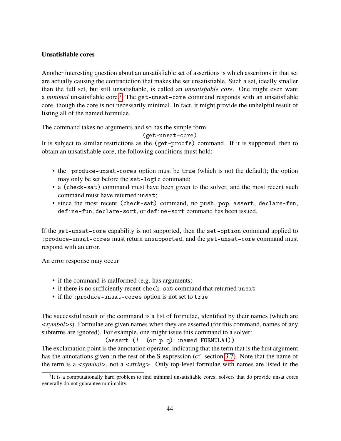#### Unsatisfiable cores

Another interesting question about an unsatisfiable set of assertions is which assertions in that set are actually causing the contradiction that makes the set unsatisfiable. Such a set, ideally smaller than the full set, but still unsatisfiable, is called an *unsatisfiable core*. One might even want a *minimal* unsatisfiable core.[7](#page-44-0) The get-unsat-core command responds with an unsatisfiable core, though the core is not necessarily minimal. In fact, it might provide the unhelpful result of listing all of the named formulae.

The command takes no arguments and so has the simple form

(get-unsat-core)

It is subject to similar restrictions as the (get-proofs) command. If it is supported, then to obtain an unsatisfiable core, the following conditions must hold:

- the :produce-unsat-cores option must be true (which is not the default); the option may only be set before the set-logic command;
- a (check-sat) command must have been given to the solver, and the most recent such command must have returned unsat;
- since the most recent (check-sat) command, no push, pop, assert, declare-fun, define-fun, declare-sort, or define-sort command has been issued.

If the get-unsat-core capability is not supported, then the set-option command applied to :produce-unsat-cores must return unsupported, and the get-unsat-core command must respond with an error.

An error response may occur

- if the command is malformed (e.g. has arguments)
- if there is no sufficiently recent check-sat command that returned unsat
- if the :produce-unsat-cores option is not set to true

The successful result of the command is a list of formulae, identified by their names (which are *<symbol>*s). Formulae are given names when they are asserted (for this command, names of any subterms are ignored). For example, one might issue this command to a solver:

(assert (! (or p q) :named FORMULA1))

The exclamation point is the annotation operator, indicating that the term that is the first argument has the annotations given in the rest of the S-expression (cf. section [3.7\)](#page-23-0). Note that the name of the term is a *<symbol>*, not a *<string>*. Only top-level formulae with names are listed in the

<span id="page-44-0"></span> $7$ It is a computationally hard problem to find minimal unsatisfiable cores; solvers that do provide unsat cores generally do not guarantee minimality.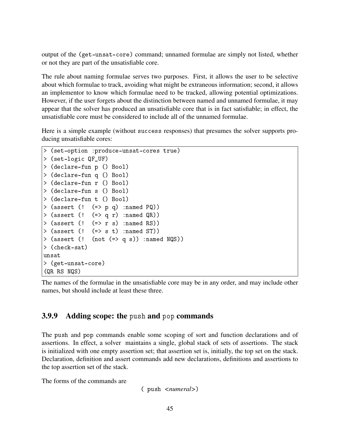output of the (get-unsat-core) command; unnamed formulae are simply not listed, whether or not they are part of the unsatisfiable core.

The rule about naming formulae serves two purposes. First, it allows the user to be selective about which formulae to track, avoiding what might be extraneous information; second, it allows an implementor to know which formulae need to be tracked, allowing potential optimizations. However, if the user forgets about the distinction between named and unnamed formulae, it may appear that the solver has produced an unsatisfiable core that is in fact satisfiable; in effect, the unsatisfiable core must be considered to include all of the unnamed formulae.

Here is a simple example (without success responses) that presumes the solver supports producing unsatisfiable cores:

```
> (set-option :produce-unsat-cores true)
> (set-logic QF_UF)
> (declare-fun p () Bool)
> (declare-fun q () Bool)
> (declare-fun r () Bool)
> (declare-fun s () Bool)
> (declare-fun t () Bool)
> (assert (! (=> p q) :named PQ))
> (assert (! (=> q r) :named QR))
> (assert (! (=> r s) :named RS))
> (assert (! (=> s t) :named ST))
> (assert (! (not (=> q s)) :named NQS))
> (check-sat)
unsat
> (get-unsat-core)
(QR RS NQS)
```
The names of the formulae in the unsatisfiable core may be in any order, and may include other names, but should include at least these three.

## 3.9.9 Adding scope: the push and pop commands

The push and pop commands enable some scoping of sort and function declarations and of assertions. In effect, a solver maintains a single, global stack of sets of assertions. The stack is initialized with one empty assertion set; that assertion set is, initially, the top set on the stack. Declaration, definition and assert commands add new declarations, definitions and assertions to the top assertion set of the stack.

The forms of the commands are

( push *<numeral>*)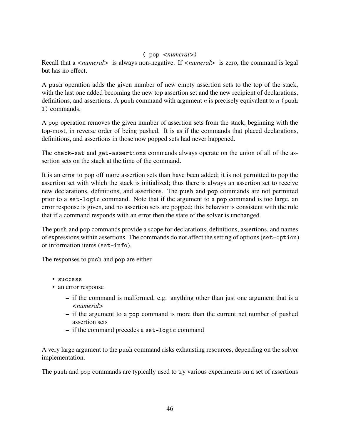#### ( pop *<numeral>*)

Recall that a *<numeral>* is always non-negative. If *<numeral>* is zero, the command is legal but has no effect.

A push operation adds the given number of new empty assertion sets to the top of the stack, with the last one added becoming the new top assertion set and the new recipient of declarations, definitions, and assertions. A push command with argument *n* is precisely equivalent to *n* (push 1) commands.

A pop operation removes the given number of assertion sets from the stack, beginning with the top-most, in reverse order of being pushed. It is as if the commands that placed declarations, definitions, and assertions in those now popped sets had never happened.

The check-sat and get-assertions commands always operate on the union of all of the assertion sets on the stack at the time of the command.

It is an error to pop off more assertion sets than have been added; it is not permitted to pop the assertion set with which the stack is initialized; thus there is always an assertion set to receive new declarations, definitions, and assertions. The push and pop commands are not permitted prior to a set-logic command. Note that if the argument to a pop command is too large, an error response is given, and no assertion sets are popped; this behavior is consistent with the rule that if a command responds with an error then the state of the solver is unchanged.

The push and pop commands provide a scope for declarations, definitions, assertions, and names of expressions within assertions. The commands do not affect the setting of options (set-option) or information items (set-info).

The responses to push and pop are either

- success
- an error response
	- if the command is malformed, e.g. anything other than just one argument that is a *<numeral>*
	- if the argument to a pop command is more than the current net number of pushed assertion sets
	- if the command precedes a set-logic command

A very large argument to the push command risks exhausting resources, depending on the solver implementation.

The push and pop commands are typically used to try various experiments on a set of assertions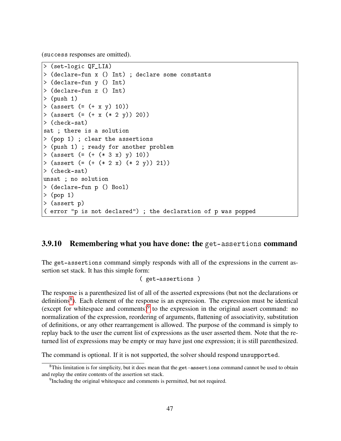(success responses are omitted).

```
> (set-logic QF_LIA)
> (declare-fun x () Int) ; declare some constants
> (declare-fun y () Int)
> (declare-fun z () Int)
> (push 1)
> (assert (= (+ x y) 10))
> (assert (= (+ x (* 2 y)) 20))
> (check-sat)
sat ; there is a solution
> (pop 1) ; clear the assertions
> (push 1) ; ready for another problem
> (assert (= (+ (* 3 x) y) 10))
> (assert (= (+ (* 2 x) (* 2 y)) 21))
> (check-sat)
unsat ; no solution
> (declare-fun p () Bool)
> (pop 1)
> (assert p)
( error "p is not declared") ; the declaration of p was popped
```
## 3.9.10 Remembering what you have done: the get-assertions command

The get-assertions command simply responds with all of the expressions in the current assertion set stack. It has this simple form:

```
( get-assertions )
```
The response is a parenthesized list of all of the asserted expressions (but not the declarations or definitions<sup>[8](#page-47-0)</sup>). Each element of the response is an expression. The expression must be identical (except for whitespace and comments) $9$  to the expression in the original assert command: no normalization of the expression, reordering of arguments, flattening of associativity, substitution of definitions, or any other rearrangement is allowed. The purpose of the command is simply to replay back to the user the current list of expressions as the user asserted them. Note that the returned list of expressions may be empty or may have just one expression; it is still parenthesized.

The command is optional. If it is not supported, the solver should respond unsupported.

<span id="page-47-0"></span><sup>&</sup>lt;sup>8</sup>This limitation is for simplicity, but it does mean that the get-assertions command cannot be used to obtain and replay the entire contents of the assertion set stack.

<span id="page-47-1"></span><sup>&</sup>lt;sup>9</sup>Including the original whitespace and comments is permitted, but not required.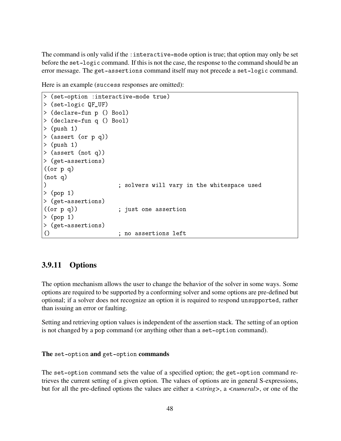The command is only valid if the : interactive-mode option is true; that option may only be set before the set-logic command. If this is not the case, the response to the command should be an error message. The get-assertions command itself may not precede a set-logic command.

Here is an example (success responses are omitted):

```
> (set-option :interactive-mode true)
> (set-logic QF_UF)
> (declare-fun p () Bool)
> (declare-fun q () Bool)
> (push 1)
> (assert (or p q))
> (push 1)
> (assert (not q))
> (get-assertions)
((or p q))(not q)
) ; solvers will vary in the whitespace used
> (pop 1)
> (get-assertions)
((or p q)) ; just one assertion
> (pop 1)
> (get-assertions)
() ; no assertions left
```
## 3.9.11 Options

The option mechanism allows the user to change the behavior of the solver in some ways. Some options are required to be supported by a conforming solver and some options are pre-defined but optional; if a solver does not recognize an option it is required to respond unsupported, rather than issuing an error or faulting.

Setting and retrieving option values is independent of the assertion stack. The setting of an option is not changed by a pop command (or anything other than a set-option command).

The set-option and get-option commands

The set-option command sets the value of a specified option; the get-option command retrieves the current setting of a given option. The values of options are in general S-expressions, but for all the pre-defined options the values are either a *<string>*, a *<numeral>*, or one of the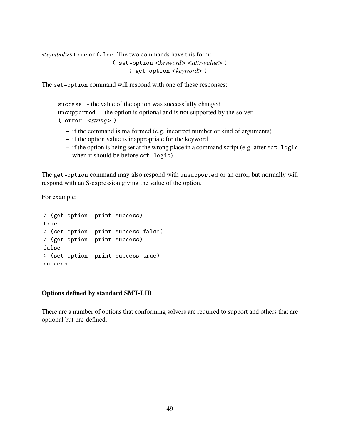*<symbol>*s true or false. The two commands have this form: ( set-option *<keyword> <attr-value>* ) ( get-option *<keyword>* )

The set-option command will respond with one of these responses:

```
success - the value of the option was successfully changed
unsupported - the option is optional and is not supported by the solver
( error <string> )
```
- if the command is malformed (e.g. incorrect number or kind of arguments)
- if the option value is inappropriate for the keyword
- if the option is being set at the wrong place in a command script (e.g. after set-logic when it should be before set-logic)

The get-option command may also respond with unsupported or an error, but normally will respond with an S-expression giving the value of the option.

For example:

```
> (get-option :print-success)
true
> (set-option :print-success false)
> (get-option :print-success)
false
> (set-option :print-success true)
success
```
#### Options defined by standard SMT-LIB

There are a number of options that conforming solvers are required to support and others that are optional but pre-defined.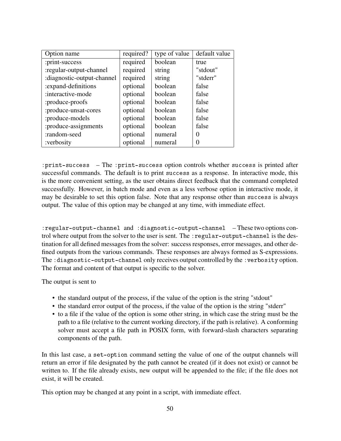| Option name                | required? | type of value | default value |
|----------------------------|-----------|---------------|---------------|
| :print-success             | required  | boolean       | true          |
| :regular-output-channel    | required  | string        | "stdout"      |
| :diagnostic-output-channel | required  | string        | "stderr"      |
| : expand-definitions       | optional  | boolean       | false         |
| :interactive-mode          | optional  | boolean       | false         |
| :produce-proofs            | optional  | boolean       | false         |
| :produce-unsat-cores       | optional  | boolean       | false         |
| :produce-models            | optional  | boolean       | false         |
| :produce-assignments       | optional  | boolean       | false         |
| :random-seed               | optional  | numeral       | 0             |
| :verbosity                 | optional  | numeral       | 0             |

:print-success – The :print-success option controls whether success is printed after successful commands. The default is to print success as a response. In interactive mode, this is the more convenient setting, as the user obtains direct feedback that the command completed successfully. However, in batch mode and even as a less verbose option in interactive mode, it may be desirable to set this option false. Note that any response other than success is always output. The value of this option may be changed at any time, with immediate effect.

:regular-output-channel and :diagnostic-output-channel – These two options control where output from the solver to the user is sent. The : regular-output-channel is the destination for all defined messages from the solver: success responses, error messages, and other defined outputs from the various commands. These responses are always formed as S-expressions. The :diagnostic-output-channel only receives output controlled by the :verbosity option. The format and content of that output is specific to the solver.

The output is sent to

- the standard output of the process, if the value of the option is the string "stdout"
- the standard error output of the process, if the value of the option is the string "stderr"
- to a file if the value of the option is some other string, in which case the string must be the path to a file (relative to the current working directory, if the path is relative). A conforming solver must accept a file path in POSIX form, with forward-slash characters separating components of the path.

In this last case, a set-option command setting the value of one of the output channels will return an error if file designated by the path cannot be created (if it does not exist) or cannot be written to. If the file already exists, new output will be appended to the file; if the file does not exist, it will be created.

This option may be changed at any point in a script, with immediate effect.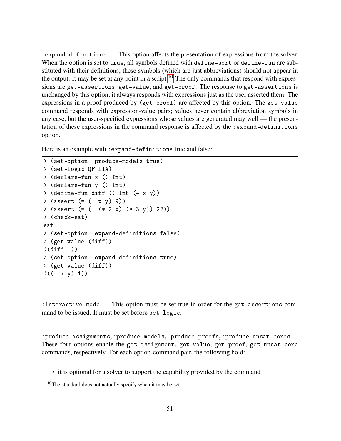:expand-definitions – This option affects the presentation of expressions from the solver. When the option is set to true, all symbols defined with define-sort or define-fun are substituted with their definitions; these symbols (which are just abbreviations) should not appear in the output. It may be set at any point in a script.<sup>[10](#page-51-0)</sup> The only commands that respond with expressions are get-assertions, get-value, and get-proof. The response to get-assertions is unchanged by this option; it always responds with expressions just as the user asserted them. The expressions in a proof produced by (get-proof) are affected by this option. The get-value command responds with expression-value pairs; values never contain abbreviation symbols in any case, but the user-specified expressions whose values are generated may well — the presentation of these expressions in the command response is affected by the :expand-definitions option.

Here is an example with :expand-definitions true and false:

```
> (set-option :produce-models true)
> (set-logic QF_LIA)
> (declare-fun x () Int)
> (declare-fun y () Int)
> (define-fun diff () Int (- x y))
> (assert (= (+ x y) 9))
> (assert (= (+ (* 2 x) (* 3 y)) 22))
> (check-sat)
sat
> (set-option :expand-definitions false)
> (get-value (diff))
((diff 1))> (set-option :expand-definitions true)
> (get-value (diff))
((( - x y) 1))
```
:interactive-mode – This option must be set true in order for the get-assertions command to be issued. It must be set before set-logic.

:produce-assignments, :produce-models, :produce-proofs, :produce-unsat-cores – These four options enable the get-assignment, get-value, get-proof, get-unsat-core commands, respectively. For each option-command pair, the following hold:

• it is optional for a solver to support the capability provided by the command

<span id="page-51-0"></span><sup>&</sup>lt;sup>10</sup>The standard does not actually specify when it may be set.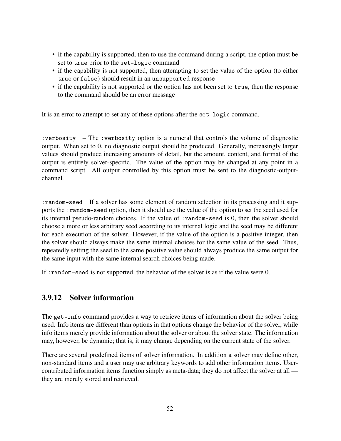- if the capability is supported, then to use the command during a script, the option must be set to true prior to the set-logic command
- if the capability is not supported, then attempting to set the value of the option (to either true or false) should result in an unsupported response
- if the capability is not supported or the option has not been set to true, then the response to the command should be an error message

It is an error to attempt to set any of these options after the set-logic command.

:verbosity – The :verbosity option is a numeral that controls the volume of diagnostic output. When set to 0, no diagnostic output should be produced. Generally, increasingly larger values should produce increasing amounts of detail, but the amount, content, and format of the output is entirely solver-specific. The value of the option may be changed at any point in a command script. All output controlled by this option must be sent to the diagnostic-outputchannel.

:random-seed If a solver has some element of random selection in its processing and it supports the :random-seed option, then it should use the value of the option to set the seed used for its internal pseudo-random choices. If the value of :random-seed is 0, then the solver should choose a more or less arbitrary seed according to its internal logic and the seed may be different for each execution of the solver. However, if the value of the option is a positive integer, then the solver should always make the same internal choices for the same value of the seed. Thus, repeatedly setting the seed to the same positive value should always produce the same output for the same input with the same internal search choices being made.

If :random-seed is not supported, the behavior of the solver is as if the value were 0.

## <span id="page-52-0"></span>3.9.12 Solver information

The get-info command provides a way to retrieve items of information about the solver being used. Info items are different than options in that options change the behavior of the solver, while info items merely provide information about the solver or about the solver state. The information may, however, be dynamic; that is, it may change depending on the current state of the solver.

There are several predefined items of solver information. In addition a solver may define other, non-standard items and a user may use arbitrary keywords to add other information items. Usercontributed information items function simply as meta-data; they do not affect the solver at all they are merely stored and retrieved.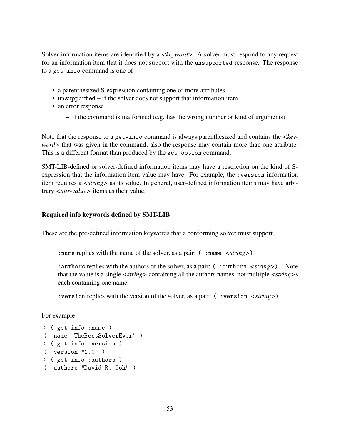Solver information items are identified by a *<keyword>*. A solver must respond to any request for an information item that it does not support with the unsupported response. The response to a get-info command is one of

- a parenthesized S-expression containing one or more attributes
- unsupported if the solver does not support that information item
- an error response
	- if the command is malformed (e.g. has the wrong number or kind of arguments)

Note that the response to a get-info command is always parenthesized and contains the *<keyword>* that was given in the command; also the response may contain more than one attribute. This is a different format than produced by the get-option command.

SMT-LIB-defined or solver-defined information items may have a restriction on the kind of Sexpression that the information item value may have. For example, the :version information item requires a *<string>* as its value. In general, user-defined information items may have arbitrary *<attr-value>* items as their value.

#### Required info keywords defined by SMT-LIB

These are the pre-defined information keywords that a conforming solver must support.

: name replies with the name of the solver, as a pair: ( : name *<string*>)

:authors replies with the authors of the solver, as a pair: ( :authors *<string>*) . Note that the value is a single *<string>* containing all the authors names, not multiple *<string>*s each containing one name.

:version replies with the version of the solver, as a pair: ( :version *<string>*)

For example

```
> ( get-info :name )
( :name "TheBestSolverEver" )
> ( get-info :version )
( :version "1.0")
> ( get-info :authors )
( :authors "David R. Cok" )
```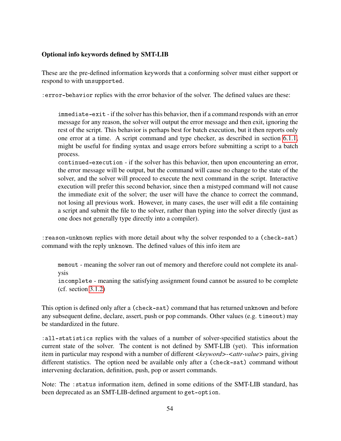#### Optional info keywords defined by SMT-LIB

These are the pre-defined information keywords that a conforming solver must either support or respond to with unsupported.

:error-behavior replies with the error behavior of the solver. The defined values are these:

immediate-exit - if the solver has this behavior, then if a command responds with an error message for any reason, the solver will output the error message and then exit, ignoring the rest of the script. This behavior is perhaps best for batch execution, but it then reports only one error at a time. A script command and type checker, as described in section [6.1.1,](#page-66-0) might be useful for finding syntax and usage errors before submitting a script to a batch process.

continued-execution - if the solver has this behavior, then upon encountering an error, the error message will be output, but the command will cause no change to the state of the solver, and the solver will proceed to execute the next command in the script. Interactive execution will prefer this second behavior, since then a mistyped command will not cause the immediate exit of the solver; the user will have the chance to correct the command, not losing all previous work. However, in many cases, the user will edit a file containing a script and submit the file to the solver, rather than typing into the solver directly (just as one does not generally type directly into a compiler).

:reason-unknown replies with more detail about why the solver responded to a (check-sat) command with the reply unknown. The defined values of this info item are

memout - meaning the solver ran out of memory and therefore could not complete its analysis

incomplete - meaning the satisfying assignment found cannot be assured to be complete (cf. section [3.1.2\)](#page-15-0)

This option is defined only after a (check-sat) command that has returned unknown and before any subsequent define, declare, assert, push or pop commands. Other values (e.g. timeout) may be standardized in the future.

:all-statistics replies with the values of a number of solver-specified statistics about the current state of the solver. The content is not defined by SMT-LIB (yet). This information item in particular may respond with a number of different *<keyword>*-*<attr-value>* pairs, giving different statistics. The option need be available only after a (check-sat) command without intervening declaration, definition, push, pop or assert commands.

Note: The :status information item, defined in some editions of the SMT-LIB standard, has been deprecated as an SMT-LIB-defined argument to get-option.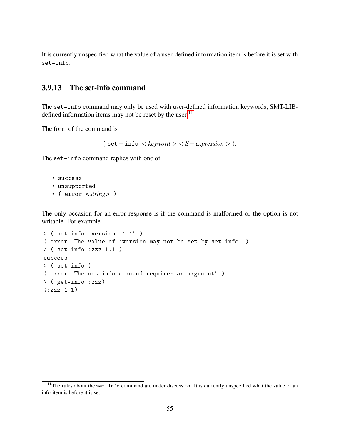It is currently unspecified what the value of a user-defined information item is before it is set with set-info.

## 3.9.13 The set-info command

The set-info command may only be used with user-defined information keywords; SMT-LIB-defined information items may not be reset by the user.<sup>[11](#page-55-0)</sup>

The form of the command is

( set−info < *keyword* > < *S*−*expression* > ).

The set-info command replies with one of

- success
- unsupported
- ( error *<string>* )

The only occasion for an error response is if the command is malformed or the option is not writable. For example

```
> ( set-info :version "1.1" )
( error "The value of :version may not be set by set-info" )
> ( set-info :zzz 1.1 )
success
> ( set-info )
( error "The set-info command requires an argument" )
> ( get-info :zzz)
(:zzz 1.1)
```
<span id="page-55-0"></span> $11$ The rules about the set-info command are under discussion. It is currently unspecified what the value of an info-item is before it is set.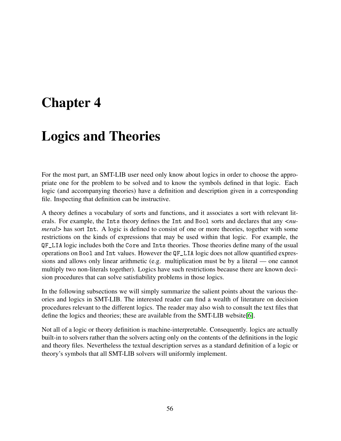# Chapter 4

# Logics and Theories

For the most part, an SMT-LIB user need only know about logics in order to choose the appropriate one for the problem to be solved and to know the symbols defined in that logic. Each logic (and accompanying theories) have a definition and description given in a corresponding file. Inspecting that definition can be instructive.

A theory defines a vocabulary of sorts and functions, and it associates a sort with relevant literals. For example, the Ints theory defines the Int and Bool sorts and declares that any *<numeral>* has sort Int. A logic is defined to consist of one or more theories, together with some restrictions on the kinds of expressions that may be used within that logic. For example, the QF\_LIA logic includes both the Core and Ints theories. Those theories define many of the usual operations on Bool and Int values. However the QF\_LIA logic does not allow quantified expressions and allows only linear arithmetic (e.g. multiplication must be by a literal — one cannot multiply two non-literals together). Logics have such restrictions because there are known decision procedures that can solve satisfiability problems in those logics.

In the following subsections we will simply summarize the salient points about the various theories and logics in SMT-LIB. The interested reader can find a wealth of literature on decision procedures relevant to the different logics. The reader may also wish to consult the text files that define the logics and theories; these are available from the SMT-LIB website[\[6\]](#page-70-0).

Not all of a logic or theory definition is machine-interpretable. Consequently. logics are actually built-in to solvers rather than the solvers acting only on the contents of the definitions in the logic and theory files. Nevertheless the textual description serves as a standard definition of a logic or theory's symbols that all SMT-LIB solvers will uniformly implement.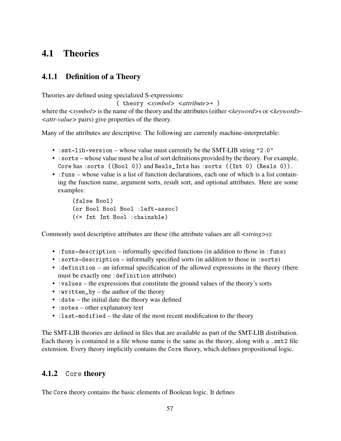## <span id="page-57-0"></span>4.1 Theories

## 4.1.1 Definition of a Theory

Theories are defined using specialized S-expressions:

( theory *<symbol> <attribute>*+ )

where the *<symbol>* is the name of the theory and the attributes (either *<keyword>*s or *<keyword>*- *<attr-value>* pairs) give properties of the theory.

Many of the attributes are descriptive. The following are currently machine-interpretable:

- : smt-lib-version whose value must currently be the SMT-LIB string "2.0"
- : sorts whose value must be a list of sort definitions provided by the theory. For example, Core has :sorts ((Bool 0)) and Reals\_Ints has :sorts ((Int 0) (Reals 0)).
- :funs whose value is a list of function declarations, each one of which is a list containing the function name, argument sorts, result sort, and optional attributes. Here are some examples:

```
(false Bool)
(or Bool Bool Bool :left-assoc)
(<= Int Int Bool :chainable)
```
Commonly used descriptive attributes are these (the attribute values are all *<string>*s):

- :funs-description informally specified functions (in addition to those in :funs)
- :sorts-description informally specified sorts (in addition to those in :sorts)
- : definition an informal specification of the allowed expressions in the theory (there must be exactly one :definition attribute)
- :values the expressions that constitute the ground values of the theory's sorts
- : written  $by$  the author of the theory
- : date the initial date the theory was defined
- : notes other explanatory text
- : last-modified the date of the most recent modification to the theory

The SMT-LIB theories are defined in files that are available as part of the SMT-LIB distribution. Each theory is contained in a file whose name is the same as the theory, along with a . smt2 file extension. Every theory implicitly contains the Core theory, which defines propositional logic.

## 4.1.2 Core theory

The Core theory contains the basic elements of Boolean logic. It defines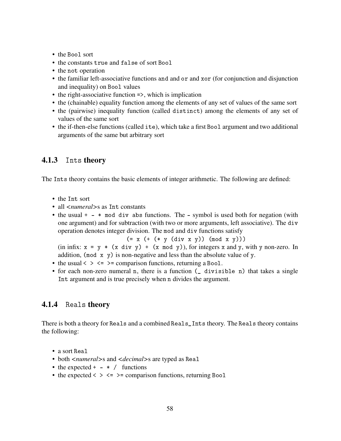- the Bool sort
- the constants true and false of sort Bool
- the not operation
- the familiar left-associative functions and and or and xor (for conjunction and disjunction and inequality) on Bool values
- the right-associative function =>, which is implication
- the (chainable) equality function among the elements of any set of values of the same sort
- the (pairwise) inequality function (called distinct) among the elements of any set of values of the same sort
- the if-then-else functions (called ite), which take a first Bool argument and two additional arguments of the same but arbitrary sort

#### 4.1.3 Ints theory

The Ints theory contains the basic elements of integer arithmetic. The following are defined:

- the Int sort
- all *<numeral* > s as Int constants
- the usual + \* mod div abs functions. The symbol is used both for negation (with one argument) and for subtraction (with two or more arguments, left associative). The div operation denotes integer division. The mod and div functions satisfy

 $(= x (+ (* y (div x y)) (mod x y)))$ 

(in infix:  $x = y * (x \text{ div } y) + (x \text{ mod } y)$ ), for integers x and y, with y non-zero. In addition, (mod  $x \, y$ ) is non-negative and less than the absolute value of y.

- the usual  $\langle \rangle \langle \langle \rangle$  =  $\rangle$  = comparison functions, returning a Bool.
- for each non-zero numeral n, there is a function ( divisible n) that takes a single Int argument and is true precisely when n divides the argument.

#### 4.1.4 Reals theory

There is both a theory for Reals and a combined Reals\_Ints theory. The Reals theory contains the following:

- a sort Real
- both *<numeral*>s and *<decimal*>s are typed as Real
- the expected +  $-$  \* / functions
- the expected  $\langle \rangle \langle \rangle \langle \rangle$  =  $\rangle$  = comparison functions, returning Bool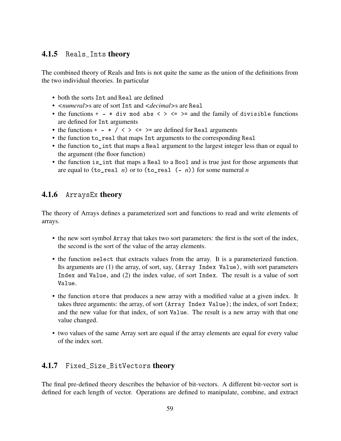## 4.1.5 Reals\_Ints theory

The combined theory of Reals and Ints is not quite the same as the union of the definitions from the two individual theories. In particular

- both the sorts Int and Real are defined
- *<numeral>*s are of sort Int and *<decimal>*s are Real
- the functions + \* div mod abs  $\langle \rangle \langle \rangle = \rangle$  and the family of divisible functions are defined for Int arguments
- the functions +  $*/ \leq$  >  $\leq$  >  $\leq$  are defined for Real arguments
- the function to\_real that maps Int arguments to the corresponding Real
- the function to\_int that maps a Real argument to the largest integer less than or equal to the argument (the floor function)
- the function is\_int that maps a Real to a Bool and is true just for those arguments that are equal to  $(t_0_{real} n)$  or to  $(t_0_{real} (- n))$  for some numeral *n*

## 4.1.6 ArraysEx theory

The theory of Arrays defines a parameterized sort and functions to read and write elements of arrays.

- the new sort symbol Array that takes two sort parameters: the first is the sort of the index, the second is the sort of the value of the array elements.
- the function select that extracts values from the array. It is a parameterized function. Its arguments are (1) the array, of sort, say, (Array Index Value), with sort parameters Index and Value, and (2) the index value, of sort Index. The result is a value of sort Value.
- the function store that produces a new array with a modified value at a given index. It takes three arguments: the array, of sort (Array Index Value); the index, of sort Index; and the new value for that index, of sort Value. The result is a new array with that one value changed.
- two values of the same Array sort are equal if the array elements are equal for every value of the index sort.

## 4.1.7 Fixed\_Size\_BitVectors theory

The final pre-defined theory describes the behavior of bit-vectors. A different bit-vector sort is defined for each length of vector. Operations are defined to manipulate, combine, and extract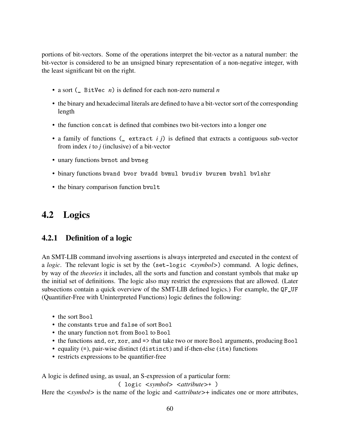portions of bit-vectors. Some of the operations interpret the bit-vector as a natural number: the bit-vector is considered to be an unsigned binary representation of a non-negative integer, with the least significant bit on the right.

- a sort ( BitVec *n*) is defined for each non-zero numeral *n*
- the binary and hexadecimal literals are defined to have a bit-vector sort of the corresponding length
- the function concat is defined that combines two bit-vectors into a longer one
- a family of functions (\_ extract *i j*) is defined that extracts a contiguous sub-vector from index *i* to *j* (inclusive) of a bit-vector
- unary functions bvnot and bvneg
- binary functions bvand bvor bvadd bvmul bvudiv bvurem bvshl bvlshr
- the binary comparison function bvult

## 4.2 Logics

## 4.2.1 Definition of a logic

An SMT-LIB command involving assertions is always interpreted and executed in the context of a *logic*. The relevant logic is set by the (set-logic *<symbol>*) command. A logic defines, by way of the *theories* it includes, all the sorts and function and constant symbols that make up the initial set of definitions. The logic also may restrict the expressions that are allowed. (Later subsections contain a quick overview of the SMT-LIB defined logics.) For example, the QF\_UF (Quantifier-Free with Uninterpreted Functions) logic defines the following:

- the sort Bool
- the constants true and false of sort Bool
- the unary function not from Bool to Bool
- the functions and, or, xor, and => that take two or more Bool arguments, producing Bool
- equality (=), pair-wise distinct (distinct) and if-then-else (ite) functions
- restricts expressions to be quantifier-free

A logic is defined using, as usual, an S-expression of a particular form:

( logic *<symbol> <attribute>*+ )

Here the *<symbol*> is the name of the logic and *<attribute*>+ indicates one or more attributes,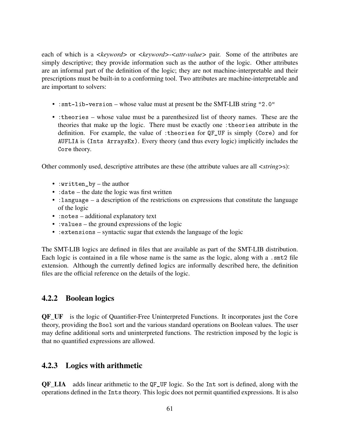each of which is a *<keyword>* or *<keyword>-<attr-value>* pair. Some of the attributes are simply descriptive; they provide information such as the author of the logic. Other attributes are an informal part of the definition of the logic; they are not machine-interpretable and their prescriptions must be built-in to a conforming tool. Two attributes are machine-interpretable and are important to solvers:

- :smt-lib-version whose value must at present be the SMT-LIB string "2.0"
- :theories whose value must be a parenthesized list of theory names. These are the theories that make up the logic. There must be exactly one :theories attribute in the definition. For example, the value of :theories for QF\_UF is simply (Core) and for AUFLIA is (Ints ArraysEx). Every theory (and thus every logic) implicitly includes the Core theory.

Other commonly used, descriptive attributes are these (the attribute values are all *<string>*s):

- :written\_by the author
- : date the date the logic was first written
- :language a description of the restrictions on expressions that constitute the language of the logic
- :notes additional explanatory text
- :values the ground expressions of the logic
- :extensions syntactic sugar that extends the language of the logic

The SMT-LIB logics are defined in files that are available as part of the SMT-LIB distribution. Each logic is contained in a file whose name is the same as the logic, along with a .smt2 file extension. Although the currently defined logics are informally described here, the definition files are the official reference on the details of the logic.

## 4.2.2 Boolean logics

**QF** UF is the logic of Quantifier-Free Uninterpreted Functions. It incorporates just the Core theory, providing the Bool sort and the various standard operations on Boolean values. The user may define additional sorts and uninterpreted functions. The restriction imposed by the logic is that no quantified expressions are allowed.

## 4.2.3 Logics with arithmetic

QF\_LIA adds linear arithmetic to the QF\_UF logic. So the Int sort is defined, along with the operations defined in the Ints theory. This logic does not permit quantified expressions. It is also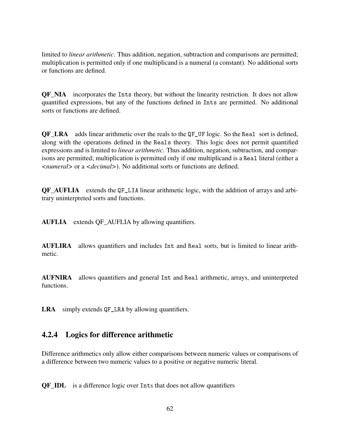limited to *linear arithmetic*. Thus addition, negation, subtraction and comparisons are permitted; multiplication is permitted only if one multiplicand is a numeral (a constant). No additional sorts or functions are defined.

QF\_NIA incorporates the Ints theory, but without the linearity restriction. It does not allow quantified expressions, but any of the functions defined in Ints are permitted. No additional sorts or functions are defined.

QF\_LRA adds linear arithmetic over the reals to the QF\_UF logic. So the Real sort is defined, along with the operations defined in the Reals theory. This logic does not permit quantified expressions and is limited to *linear arithmetic*. Thus addition, negation, subtraction, and comparisons are permitted; multiplication is permitted only if one multiplicand is a Real literal (either a *<numeral>* or a *<decimal>*). No additional sorts or functions are defined.

QF\_AUFLIA extends the QF\_LIA linear arithmetic logic, with the addition of arrays and arbitrary uninterpreted sorts and functions.

AUFLIA extends QF\_AUFLIA by allowing quantifiers.

AUFLIRA allows quantifiers and includes Int and Real sorts, but is limited to linear arithmetic.

AUFNIRA allows quantifiers and general Int and Real arithmetic, arrays, and uninterpreted functions.

LRA simply extends QF\_LRA by allowing quantifiers.

## 4.2.4 Logics for difference arithmetic

Difference arithmetics only allow either comparisons between numeric values or comparisons of a difference between two numeric values to a positive or negative numeric literal.

QF\_IDL is a difference logic over Ints that does not allow quantifiers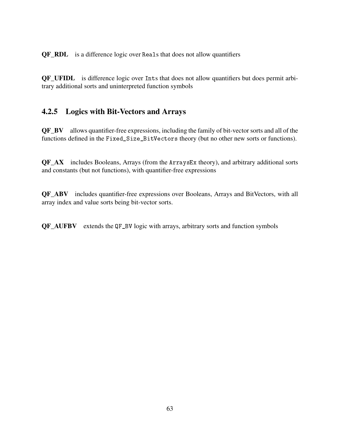QF\_RDL is a difference logic over Reals that does not allow quantifiers

QF\_UFIDL is difference logic over Ints that does not allow quantifiers but does permit arbitrary additional sorts and uninterpreted function symbols

## 4.2.5 Logics with Bit-Vectors and Arrays

QF\_BV allows quantifier-free expressions, including the family of bit-vector sorts and all of the functions defined in the Fixed\_Size\_BitVectors theory (but no other new sorts or functions).

QF\_AX includes Booleans, Arrays (from the ArraysEx theory), and arbitrary additional sorts and constants (but not functions), with quantifier-free expressions

QF\_ABV includes quantifier-free expressions over Booleans, Arrays and BitVectors, with all array index and value sorts being bit-vector sorts.

QF\_AUFBV extends the QF\_BV logic with arrays, arbitrary sorts and function symbols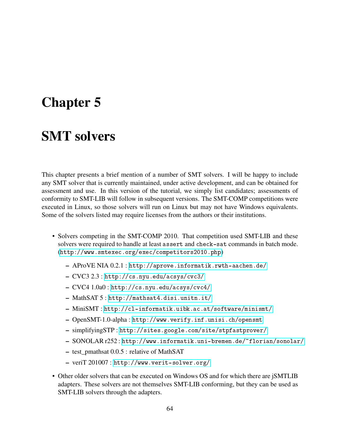# <span id="page-64-0"></span>Chapter 5

## SMT solvers

This chapter presents a brief mention of a number of SMT solvers. I will be happy to include any SMT solver that is currently maintained, under active development, and can be obtained for assessment and use. In this version of the tutorial, we simply list candidates; assessments of conformity to SMT-LIB will follow in subsequent versions. The SMT-COMP competitions were executed in Linux, so those solvers will run on Linux but may not have Windows equivalents. Some of the solvers listed may require licenses from the authors or their institutions.

- Solvers competing in the SMT-COMP 2010. That competition used SMT-LIB and these solvers were required to handle at least assert and check-sat commands in batch mode. (<http://www.smtexec.org/exec/competitors2010.php>)
	- AProVE NIA 0.2.1 : <http://aprove.informatik.rwth-aachen.de/>
	- CVC3 2.3 : <http://cs.nyu.edu/acsys/cvc3/>
	- CVC4 1.0a0 : <http://cs.nyu.edu/acsys/cvc4/>
	- MathSAT 5 : <http://mathsat4.disi.unitn.it/>
	- MiniSMT : <http://cl-informatik.uibk.ac.at/software/minismt/>
	- OpenSMT-1.0-alpha : <http://www.verify.inf.unisi.ch/opensmt>
	- simplifyingSTP : <http://sites.google.com/site/stpfastprover/>
	- SONOLAR r252 : <http://www.informatik.uni-bremen.de/~florian/sonolar/>
	- test\_pmathsat 0.0.5 : relative of MathSAT
	- veriT 201007 : <http://www.verit-solver.org/>
- Other older solvers that can be executed on Windows OS and for which there are jSMTLIB adapters. These solvers are not themselves SMT-LIB conforming, but they can be used as SMT-LIB solvers through the adapters.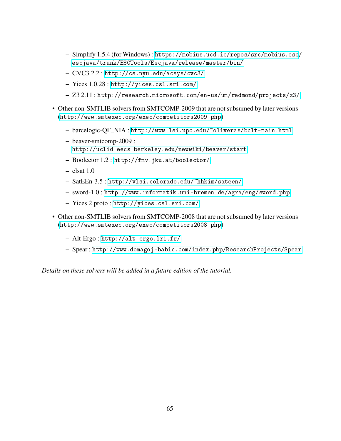- Simplify 1.5.4 (for Windows) : [https://mobius.ucd.ie/repos/src/mobius.esc](https://mobius.ucd.ie/repos/src/mobius.esc/escjava/trunk/ESCTools/Escjava/release/master/bin/)/ [escjava/trunk/ESCTools/Escjava/release/master/bin/](https://mobius.ucd.ie/repos/src/mobius.esc/escjava/trunk/ESCTools/Escjava/release/master/bin/)
- CVC3 2.2 : <http://cs.nyu.edu/acsys/cvc3/>
- Yices 1.0.28 : <http://yices.csl.sri.com/>
- Z3 2.11 : <http://research.microsoft.com/en-us/um/redmond/projects/z3/>
- Other non-SMTLIB solvers from SMTCOMP-2009 that are not subsumed by later versions (<http://www.smtexec.org/exec/competitors2009.php>)
	- barcelogic-QF\_NIA : <http://www.lsi.upc.edu/~oliveras/bclt-main.html>
	- beaver-smtcomp-2009 : <http://uclid.eecs.berkeley.edu/newwiki/beaver/start>
	- Boolector 1.2 : <http://fmv.jku.at/boolector/>
	- $-$  clsat 1.0
	- SatEEn-3.5 : <http://vlsi.colorado.edu/~hhkim/sateen/>
	- sword-1.0 : <http://www.informatik.uni-bremen.de/agra/eng/sword.php>
	- Yices 2 proto : <http://yices.csl.sri.com/>
- Other non-SMTLIB solvers from SMTCOMP-2008 that are not subsumed by later versions (<http://www.smtexec.org/exec/competitors2008.php>)
	- Alt-Ergo : <http://alt-ergo.lri.fr/>
	- Spear : <http://www.domagoj-babic.com/index.php/ResearchProjects/Spear>

*Details on these solvers will be added in a future edition of the tutorial.*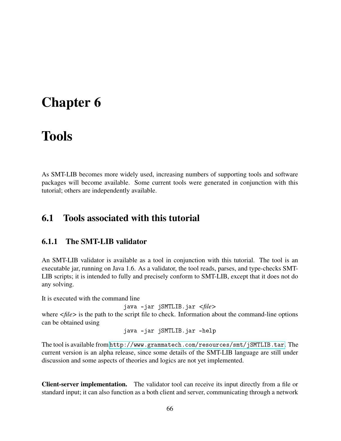# Chapter 6

## Tools

As SMT-LIB becomes more widely used, increasing numbers of supporting tools and software packages will become available. Some current tools were generated in conjunction with this tutorial; others are independently available.

## 6.1 Tools associated with this tutorial

## <span id="page-66-0"></span>6.1.1 The SMT-LIB validator

An SMT-LIB validator is available as a tool in conjunction with this tutorial. The tool is an executable jar, running on Java 1.6. As a validator, the tool reads, parses, and type-checks SMT-LIB scripts; it is intended to fully and precisely conform to SMT-LIB, except that it does not do any solving.

It is executed with the command line

java -jar jSMTLIB.jar *<file>*

where  $\langle$ *file* $>$  is the path to the script file to check. Information about the command-line options can be obtained using

java -jar jSMTLIB.jar -help

The tool is available from <http://www.grammatech.com/resources/smt/jSMTLIB.tar>. The current version is an alpha release, since some details of the SMT-LIB language are still under discussion and some aspects of theories and logics are not yet implemented.

Client-server implementation. The validator tool can receive its input directly from a file or standard input; it can also function as a both client and server, communicating through a network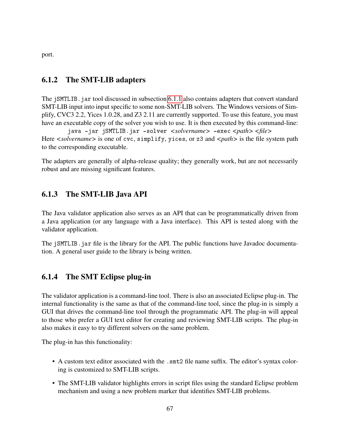port.

## 6.1.2 The SMT-LIB adapters

The jSMTLIB. jar tool discussed in subsection [6.1.1](#page-66-0) also contains adapters that convert standard SMT-LIB input into input specific to some non-SMT-LIB solvers. The Windows versions of Simplify, CVC3 2.2, Yices 1.0.28, and Z3 2.11 are currently supported. To use this feature, you must have an executable copy of the solver you wish to use. It is then executed by this command-line:

java -jar jSMTLIB.jar solver *<solvername>* -exec *<path> <file>* Here  $\leq$ *solvername* > is one of cvc, simplify, yices, or z3 and  $\leq$ *path* > is the file system path to the corresponding executable.

The adapters are generally of alpha-release quality; they generally work, but are not necessarily robust and are missing significant features.

## 6.1.3 The SMT-LIB Java API

The Java validator application also serves as an API that can be programmatically driven from a Java application (or any language with a Java interface). This API is tested along with the validator application.

The jSMTLIB. jar file is the library for the API. The public functions have Javadoc documentation. A general user guide to the library is being written.

## 6.1.4 The SMT Eclipse plug-in

The validator application is a command-line tool. There is also an associated Eclipse plug-in. The internal functionality is the same as that of the command-line tool, since the plug-in is simply a GUI that drives the command-line tool through the programmatic API. The plug-in will appeal to those who prefer a GUI text editor for creating and reviewing SMT-LIB scripts. The plug-in also makes it easy to try different solvers on the same problem.

The plug-in has this functionality:

- A custom text editor associated with the .smt2 file name suffix. The editor's syntax coloring is customized to SMT-LIB scripts.
- The SMT-LIB validator highlights errors in script files using the standard Eclipse problem mechanism and using a new problem marker that identifies SMT-LIB problems.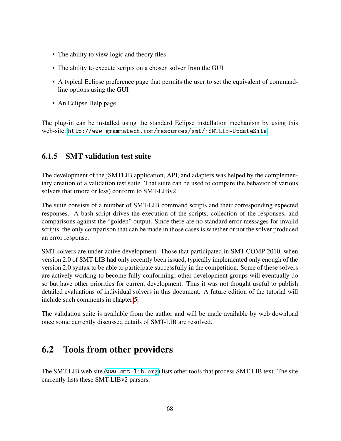- The ability to view logic and theory files
- The ability to execute scripts on a chosen solver from the GUI
- A typical Eclipse preference page that permits the user to set the equivalent of commandline options using the GUI
- An Eclipse Help page

The plug-in can be installed using the standard Eclipse installation mechanism by using this web-site: <http://www.grammatech.com/resources/smt/jSMTLIB-UpdateSite>.

## 6.1.5 SMT validation test suite

The development of the jSMTLIB application, API, and adapters was helped by the complementary creation of a validation test suite. That suite can be used to compare the behavior of various solvers that (more or less) conform to SMT-LIBv2.

The suite consists of a number of SMT-LIB command scripts and their corresponding expected responses. A bash script drives the execution of the scripts, collection of the responses, and comparisons against the "golden" output. Since there are no standard error messages for invalid scripts, the only comparison that can be made in those cases is whether or not the solver produced an error response.

SMT solvers are under active development. Those that participated in SMT-COMP 2010, when version 2.0 of SMT-LIB had only recently been issued, typically implemented only enough of the version 2.0 syntax to be able to participate successfully in the competition. Some of these solvers are actively working to become fully conforming; other development groups will eventually do so but have other priorities for current development. Thus it was not thought useful to publish detailed evaluations of individual solvers in this document. A future edition of the tutorial will include such comments in chapter [5.](#page-64-0)

The validation suite is available from the author and will be made available by web download once some currently discussed details of SMT-LIB are resolved.

## 6.2 Tools from other providers

The SMT-LIB web site (<www.smt-lib.org>) lists other tools that process SMT-LIB text. The site currently lists these SMT-LIBv2 parsers: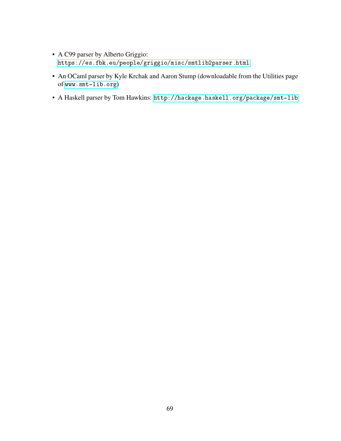- A C99 parser by Alberto Griggio: <https://es.fbk.eu/people/griggio/misc/smtlib2parser.html>
- An OCaml parser by Kyle Krchak and Aaron Stump (downloadable from the Utilities page of <www.smt-lib.org>)
- A Haskell parser by Tom Hawkins: <http://hackage.haskell.org/package/smt-lib>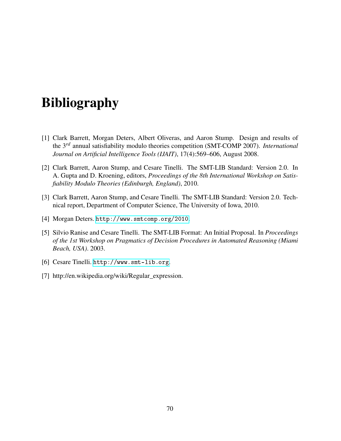# Bibliography

- [1] Clark Barrett, Morgan Deters, Albert Oliveras, and Aaron Stump. Design and results of the 3*rd* annual satisfiability modulo theories competition (SMT-COMP 2007). *International Journal on Artificial Intelligence Tools (IJAIT)*, 17(4):569–606, August 2008.
- [2] Clark Barrett, Aaron Stump, and Cesare Tinelli. The SMT-LIB Standard: Version 2.0. In A. Gupta and D. Kroening, editors, *Proceedings of the 8th International Workshop on Satisfiability Modulo Theories (Edinburgh, England)*, 2010.
- [3] Clark Barrett, Aaron Stump, and Cesare Tinelli. The SMT-LIB Standard: Version 2.0. Technical report, Department of Computer Science, The University of Iowa, 2010.
- [4] Morgan Deters. <http://www.smtcomp.org/2010>.
- [5] Silvio Ranise and Cesare Tinelli. The SMT-LIB Format: An Initial Proposal. In *Proceedings of the 1st Workshop on Pragmatics of Decision Procedures in Automated Reasoning (Miami Beach, USA)*. 2003.
- <span id="page-70-0"></span>[6] Cesare Tinelli. <http://www.smt-lib.org>.
- [7] http://en.wikipedia.org/wiki/Regular\_expression.